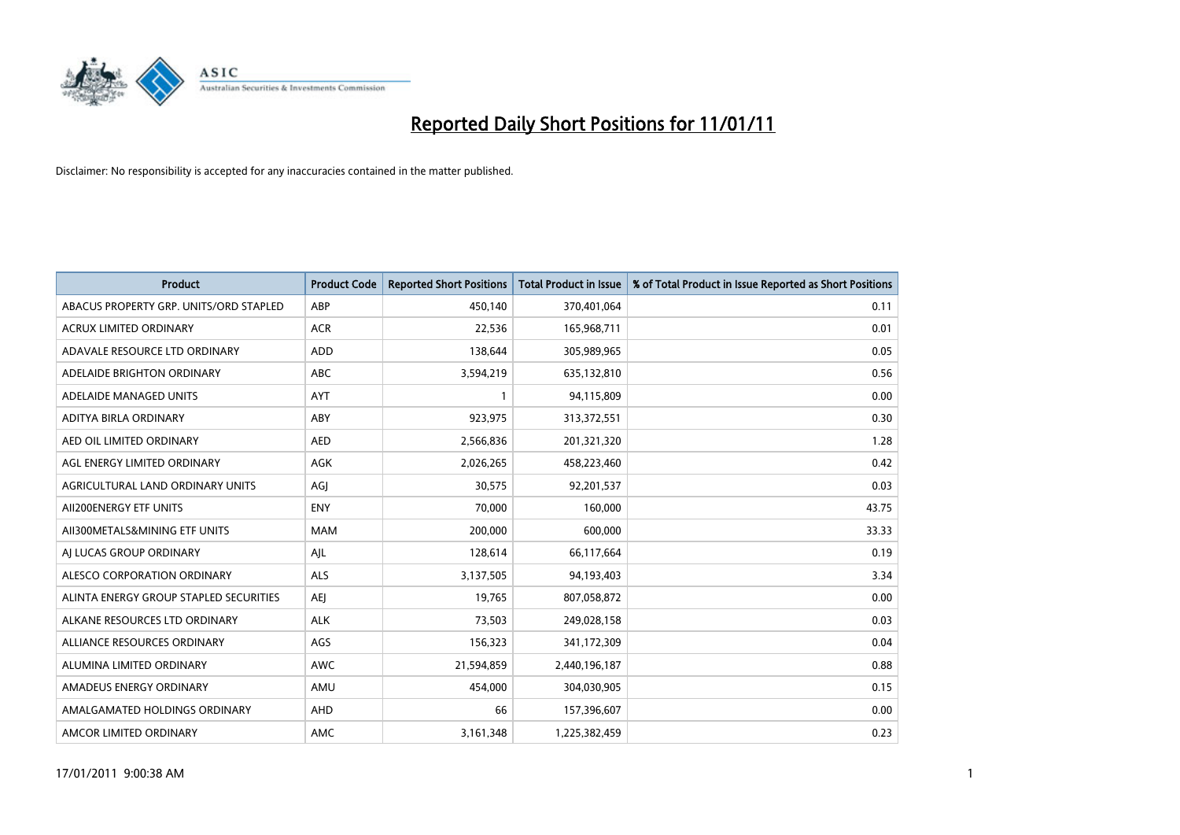

| <b>Product</b>                         | <b>Product Code</b> | <b>Reported Short Positions</b> | <b>Total Product in Issue</b> | % of Total Product in Issue Reported as Short Positions |
|----------------------------------------|---------------------|---------------------------------|-------------------------------|---------------------------------------------------------|
| ABACUS PROPERTY GRP. UNITS/ORD STAPLED | ABP                 | 450,140                         | 370,401,064                   | 0.11                                                    |
| ACRUX LIMITED ORDINARY                 | <b>ACR</b>          | 22,536                          | 165,968,711                   | 0.01                                                    |
| ADAVALE RESOURCE LTD ORDINARY          | <b>ADD</b>          | 138,644                         | 305,989,965                   | 0.05                                                    |
| ADELAIDE BRIGHTON ORDINARY             | ABC                 | 3,594,219                       | 635,132,810                   | 0.56                                                    |
| ADELAIDE MANAGED UNITS                 | AYT                 |                                 | 94,115,809                    | 0.00                                                    |
| ADITYA BIRLA ORDINARY                  | ABY                 | 923,975                         | 313,372,551                   | 0.30                                                    |
| AED OIL LIMITED ORDINARY               | <b>AED</b>          | 2,566,836                       | 201,321,320                   | 1.28                                                    |
| AGL ENERGY LIMITED ORDINARY            | <b>AGK</b>          | 2,026,265                       | 458,223,460                   | 0.42                                                    |
| AGRICULTURAL LAND ORDINARY UNITS       | AGI                 | 30,575                          | 92,201,537                    | 0.03                                                    |
| AII200ENERGY ETF UNITS                 | <b>ENY</b>          | 70.000                          | 160,000                       | 43.75                                                   |
| AII300METALS&MINING ETF UNITS          | <b>MAM</b>          | 200,000                         | 600,000                       | 33.33                                                   |
| AI LUCAS GROUP ORDINARY                | AJL                 | 128,614                         | 66,117,664                    | 0.19                                                    |
| ALESCO CORPORATION ORDINARY            | <b>ALS</b>          | 3,137,505                       | 94,193,403                    | 3.34                                                    |
| ALINTA ENERGY GROUP STAPLED SECURITIES | <b>AEI</b>          | 19,765                          | 807,058,872                   | 0.00                                                    |
| ALKANE RESOURCES LTD ORDINARY          | <b>ALK</b>          | 73,503                          | 249,028,158                   | 0.03                                                    |
| ALLIANCE RESOURCES ORDINARY            | AGS                 | 156,323                         | 341,172,309                   | 0.04                                                    |
| ALUMINA LIMITED ORDINARY               | <b>AWC</b>          | 21,594,859                      | 2,440,196,187                 | 0.88                                                    |
| AMADEUS ENERGY ORDINARY                | AMU                 | 454,000                         | 304,030,905                   | 0.15                                                    |
| AMALGAMATED HOLDINGS ORDINARY          | AHD                 | 66                              | 157,396,607                   | 0.00                                                    |
| AMCOR LIMITED ORDINARY                 | <b>AMC</b>          | 3,161,348                       | 1,225,382,459                 | 0.23                                                    |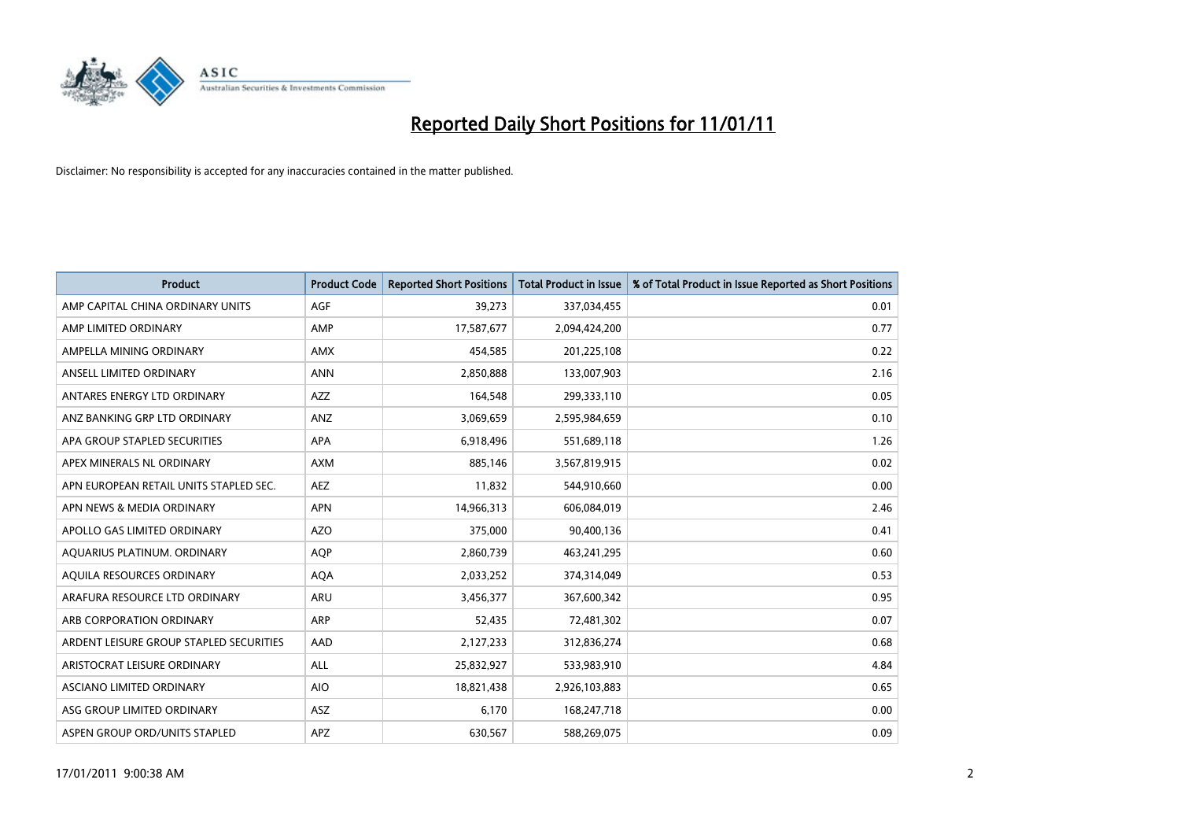

| <b>Product</b>                          | <b>Product Code</b> | <b>Reported Short Positions</b> | <b>Total Product in Issue</b> | % of Total Product in Issue Reported as Short Positions |
|-----------------------------------------|---------------------|---------------------------------|-------------------------------|---------------------------------------------------------|
| AMP CAPITAL CHINA ORDINARY UNITS        | <b>AGF</b>          | 39,273                          | 337,034,455                   | 0.01                                                    |
| AMP LIMITED ORDINARY                    | AMP                 | 17,587,677                      | 2,094,424,200                 | 0.77                                                    |
| AMPELLA MINING ORDINARY                 | <b>AMX</b>          | 454,585                         | 201,225,108                   | 0.22                                                    |
| ANSELL LIMITED ORDINARY                 | <b>ANN</b>          | 2,850,888                       | 133,007,903                   | 2.16                                                    |
| ANTARES ENERGY LTD ORDINARY             | <b>AZZ</b>          | 164,548                         | 299,333,110                   | 0.05                                                    |
| ANZ BANKING GRP LTD ORDINARY            | ANZ                 | 3,069,659                       | 2,595,984,659                 | 0.10                                                    |
| APA GROUP STAPLED SECURITIES            | <b>APA</b>          | 6,918,496                       | 551,689,118                   | 1.26                                                    |
| APEX MINERALS NL ORDINARY               | <b>AXM</b>          | 885,146                         | 3,567,819,915                 | 0.02                                                    |
| APN EUROPEAN RETAIL UNITS STAPLED SEC.  | <b>AEZ</b>          | 11,832                          | 544,910,660                   | 0.00                                                    |
| APN NEWS & MEDIA ORDINARY               | <b>APN</b>          | 14,966,313                      | 606,084,019                   | 2.46                                                    |
| APOLLO GAS LIMITED ORDINARY             | <b>AZO</b>          | 375,000                         | 90,400,136                    | 0.41                                                    |
| AQUARIUS PLATINUM. ORDINARY             | <b>AOP</b>          | 2,860,739                       | 463,241,295                   | 0.60                                                    |
| AQUILA RESOURCES ORDINARY               | <b>AQA</b>          | 2,033,252                       | 374,314,049                   | 0.53                                                    |
| ARAFURA RESOURCE LTD ORDINARY           | ARU                 | 3,456,377                       | 367,600,342                   | 0.95                                                    |
| ARB CORPORATION ORDINARY                | ARP                 | 52,435                          | 72,481,302                    | 0.07                                                    |
| ARDENT LEISURE GROUP STAPLED SECURITIES | AAD                 | 2,127,233                       | 312,836,274                   | 0.68                                                    |
| ARISTOCRAT LEISURE ORDINARY             | ALL                 | 25,832,927                      | 533,983,910                   | 4.84                                                    |
| ASCIANO LIMITED ORDINARY                | <b>AIO</b>          | 18,821,438                      | 2,926,103,883                 | 0.65                                                    |
| ASG GROUP LIMITED ORDINARY              | <b>ASZ</b>          | 6,170                           | 168,247,718                   | 0.00                                                    |
| ASPEN GROUP ORD/UNITS STAPLED           | <b>APZ</b>          | 630.567                         | 588,269,075                   | 0.09                                                    |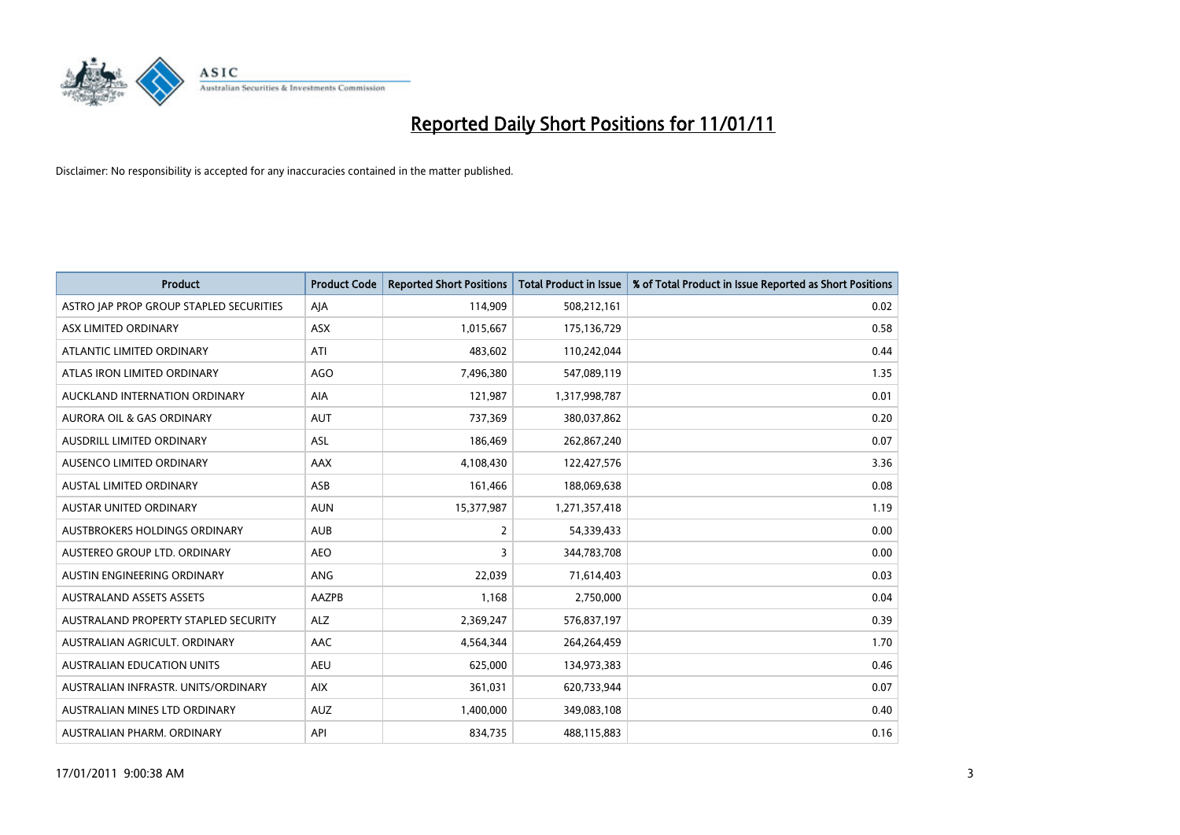

| <b>Product</b>                          | <b>Product Code</b> | <b>Reported Short Positions</b> | <b>Total Product in Issue</b> | % of Total Product in Issue Reported as Short Positions |
|-----------------------------------------|---------------------|---------------------------------|-------------------------------|---------------------------------------------------------|
| ASTRO JAP PROP GROUP STAPLED SECURITIES | AJA                 | 114,909                         | 508,212,161                   | 0.02                                                    |
| ASX LIMITED ORDINARY                    | <b>ASX</b>          | 1,015,667                       | 175,136,729                   | 0.58                                                    |
| ATLANTIC LIMITED ORDINARY               | ATI                 | 483,602                         | 110,242,044                   | 0.44                                                    |
| ATLAS IRON LIMITED ORDINARY             | AGO                 | 7,496,380                       | 547,089,119                   | 1.35                                                    |
| AUCKLAND INTERNATION ORDINARY           | AIA                 | 121,987                         | 1,317,998,787                 | 0.01                                                    |
| <b>AURORA OIL &amp; GAS ORDINARY</b>    | <b>AUT</b>          | 737,369                         | 380,037,862                   | 0.20                                                    |
| AUSDRILL LIMITED ORDINARY               | <b>ASL</b>          | 186,469                         | 262,867,240                   | 0.07                                                    |
| AUSENCO LIMITED ORDINARY                | AAX                 | 4,108,430                       | 122,427,576                   | 3.36                                                    |
| AUSTAL LIMITED ORDINARY                 | ASB                 | 161,466                         | 188,069,638                   | 0.08                                                    |
| <b>AUSTAR UNITED ORDINARY</b>           | <b>AUN</b>          | 15,377,987                      | 1,271,357,418                 | 1.19                                                    |
| AUSTBROKERS HOLDINGS ORDINARY           | <b>AUB</b>          | $\overline{2}$                  | 54,339,433                    | 0.00                                                    |
| AUSTEREO GROUP LTD. ORDINARY            | <b>AEO</b>          | 3                               | 344,783,708                   | 0.00                                                    |
| AUSTIN ENGINEERING ORDINARY             | ANG                 | 22,039                          | 71,614,403                    | 0.03                                                    |
| <b>AUSTRALAND ASSETS ASSETS</b>         | <b>AAZPB</b>        | 1,168                           | 2,750,000                     | 0.04                                                    |
| AUSTRALAND PROPERTY STAPLED SECURITY    | <b>ALZ</b>          | 2,369,247                       | 576,837,197                   | 0.39                                                    |
| AUSTRALIAN AGRICULT, ORDINARY           | AAC                 | 4,564,344                       | 264,264,459                   | 1.70                                                    |
| AUSTRALIAN EDUCATION UNITS              | <b>AEU</b>          | 625,000                         | 134,973,383                   | 0.46                                                    |
| AUSTRALIAN INFRASTR. UNITS/ORDINARY     | <b>AIX</b>          | 361,031                         | 620,733,944                   | 0.07                                                    |
| AUSTRALIAN MINES LTD ORDINARY           | <b>AUZ</b>          | 1,400,000                       | 349,083,108                   | 0.40                                                    |
| AUSTRALIAN PHARM. ORDINARY              | API                 | 834,735                         | 488,115,883                   | 0.16                                                    |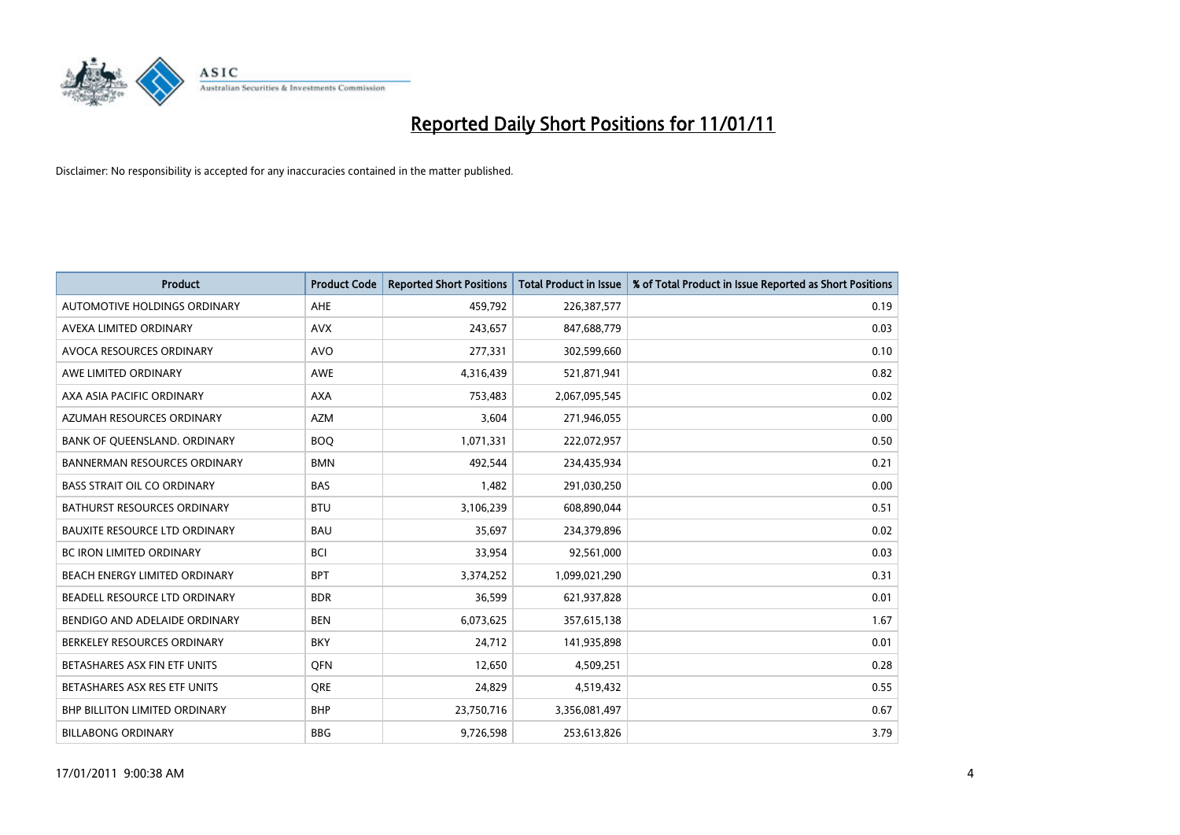

| <b>Product</b>                       | <b>Product Code</b> | <b>Reported Short Positions</b> | Total Product in Issue | % of Total Product in Issue Reported as Short Positions |
|--------------------------------------|---------------------|---------------------------------|------------------------|---------------------------------------------------------|
| <b>AUTOMOTIVE HOLDINGS ORDINARY</b>  | AHE                 | 459,792                         | 226,387,577            | 0.19                                                    |
| AVEXA LIMITED ORDINARY               | <b>AVX</b>          | 243,657                         | 847,688,779            | 0.03                                                    |
| AVOCA RESOURCES ORDINARY             | <b>AVO</b>          | 277,331                         | 302,599,660            | 0.10                                                    |
| AWE LIMITED ORDINARY                 | <b>AWE</b>          | 4,316,439                       | 521,871,941            | 0.82                                                    |
| AXA ASIA PACIFIC ORDINARY            | <b>AXA</b>          | 753,483                         | 2,067,095,545          | 0.02                                                    |
| AZUMAH RESOURCES ORDINARY            | <b>AZM</b>          | 3,604                           | 271,946,055            | 0.00                                                    |
| BANK OF QUEENSLAND. ORDINARY         | <b>BOO</b>          | 1,071,331                       | 222,072,957            | 0.50                                                    |
| <b>BANNERMAN RESOURCES ORDINARY</b>  | <b>BMN</b>          | 492,544                         | 234,435,934            | 0.21                                                    |
| <b>BASS STRAIT OIL CO ORDINARY</b>   | <b>BAS</b>          | 1,482                           | 291,030,250            | 0.00                                                    |
| <b>BATHURST RESOURCES ORDINARY</b>   | <b>BTU</b>          | 3,106,239                       | 608,890,044            | 0.51                                                    |
| BAUXITE RESOURCE LTD ORDINARY        | <b>BAU</b>          | 35,697                          | 234,379,896            | 0.02                                                    |
| <b>BC IRON LIMITED ORDINARY</b>      | <b>BCI</b>          | 33,954                          | 92,561,000             | 0.03                                                    |
| BEACH ENERGY LIMITED ORDINARY        | <b>BPT</b>          | 3,374,252                       | 1,099,021,290          | 0.31                                                    |
| BEADELL RESOURCE LTD ORDINARY        | <b>BDR</b>          | 36,599                          | 621,937,828            | 0.01                                                    |
| BENDIGO AND ADELAIDE ORDINARY        | <b>BEN</b>          | 6,073,625                       | 357,615,138            | 1.67                                                    |
| BERKELEY RESOURCES ORDINARY          | <b>BKY</b>          | 24,712                          | 141,935,898            | 0.01                                                    |
| BETASHARES ASX FIN ETF UNITS         | <b>OFN</b>          | 12,650                          | 4,509,251              | 0.28                                                    |
| BETASHARES ASX RES ETF UNITS         | <b>ORE</b>          | 24,829                          | 4,519,432              | 0.55                                                    |
| <b>BHP BILLITON LIMITED ORDINARY</b> | <b>BHP</b>          | 23,750,716                      | 3,356,081,497          | 0.67                                                    |
| <b>BILLABONG ORDINARY</b>            | <b>BBG</b>          | 9,726,598                       | 253,613,826            | 3.79                                                    |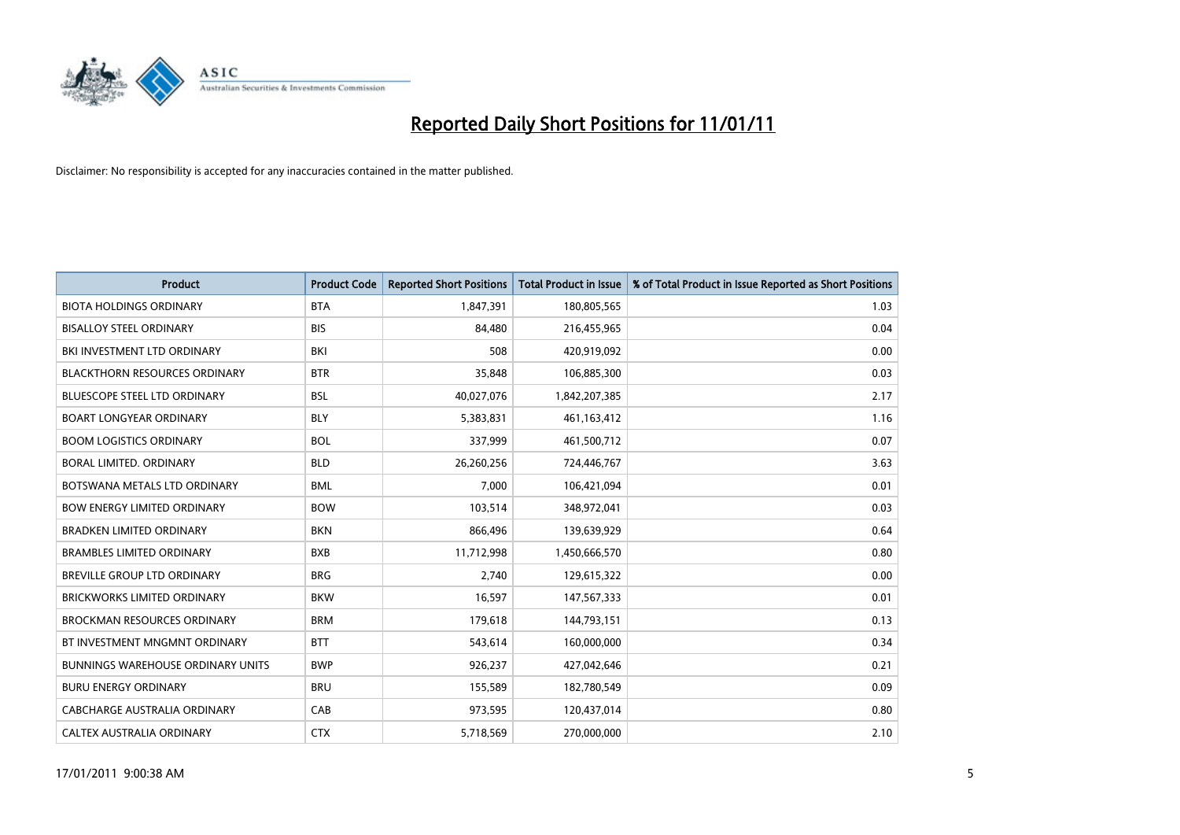

| <b>Product</b>                           | <b>Product Code</b> | <b>Reported Short Positions</b> | <b>Total Product in Issue</b> | % of Total Product in Issue Reported as Short Positions |
|------------------------------------------|---------------------|---------------------------------|-------------------------------|---------------------------------------------------------|
| <b>BIOTA HOLDINGS ORDINARY</b>           | <b>BTA</b>          | 1,847,391                       | 180,805,565                   | 1.03                                                    |
| <b>BISALLOY STEEL ORDINARY</b>           | <b>BIS</b>          | 84,480                          | 216,455,965                   | 0.04                                                    |
| BKI INVESTMENT LTD ORDINARY              | <b>BKI</b>          | 508                             | 420,919,092                   | 0.00                                                    |
| <b>BLACKTHORN RESOURCES ORDINARY</b>     | <b>BTR</b>          | 35,848                          | 106,885,300                   | 0.03                                                    |
| <b>BLUESCOPE STEEL LTD ORDINARY</b>      | <b>BSL</b>          | 40,027,076                      | 1,842,207,385                 | 2.17                                                    |
| <b>BOART LONGYEAR ORDINARY</b>           | <b>BLY</b>          | 5,383,831                       | 461,163,412                   | 1.16                                                    |
| <b>BOOM LOGISTICS ORDINARY</b>           | <b>BOL</b>          | 337,999                         | 461,500,712                   | 0.07                                                    |
| BORAL LIMITED. ORDINARY                  | <b>BLD</b>          | 26,260,256                      | 724,446,767                   | 3.63                                                    |
| BOTSWANA METALS LTD ORDINARY             | <b>BML</b>          | 7,000                           | 106,421,094                   | 0.01                                                    |
| <b>BOW ENERGY LIMITED ORDINARY</b>       | <b>BOW</b>          | 103,514                         | 348,972,041                   | 0.03                                                    |
| <b>BRADKEN LIMITED ORDINARY</b>          | <b>BKN</b>          | 866,496                         | 139,639,929                   | 0.64                                                    |
| <b>BRAMBLES LIMITED ORDINARY</b>         | <b>BXB</b>          | 11,712,998                      | 1,450,666,570                 | 0.80                                                    |
| BREVILLE GROUP LTD ORDINARY              | <b>BRG</b>          | 2,740                           | 129,615,322                   | 0.00                                                    |
| <b>BRICKWORKS LIMITED ORDINARY</b>       | <b>BKW</b>          | 16,597                          | 147,567,333                   | 0.01                                                    |
| <b>BROCKMAN RESOURCES ORDINARY</b>       | <b>BRM</b>          | 179,618                         | 144,793,151                   | 0.13                                                    |
| BT INVESTMENT MNGMNT ORDINARY            | <b>BTT</b>          | 543,614                         | 160,000,000                   | 0.34                                                    |
| <b>BUNNINGS WAREHOUSE ORDINARY UNITS</b> | <b>BWP</b>          | 926,237                         | 427,042,646                   | 0.21                                                    |
| <b>BURU ENERGY ORDINARY</b>              | <b>BRU</b>          | 155,589                         | 182,780,549                   | 0.09                                                    |
| CABCHARGE AUSTRALIA ORDINARY             | CAB                 | 973,595                         | 120,437,014                   | 0.80                                                    |
| CALTEX AUSTRALIA ORDINARY                | <b>CTX</b>          | 5,718,569                       | 270,000,000                   | 2.10                                                    |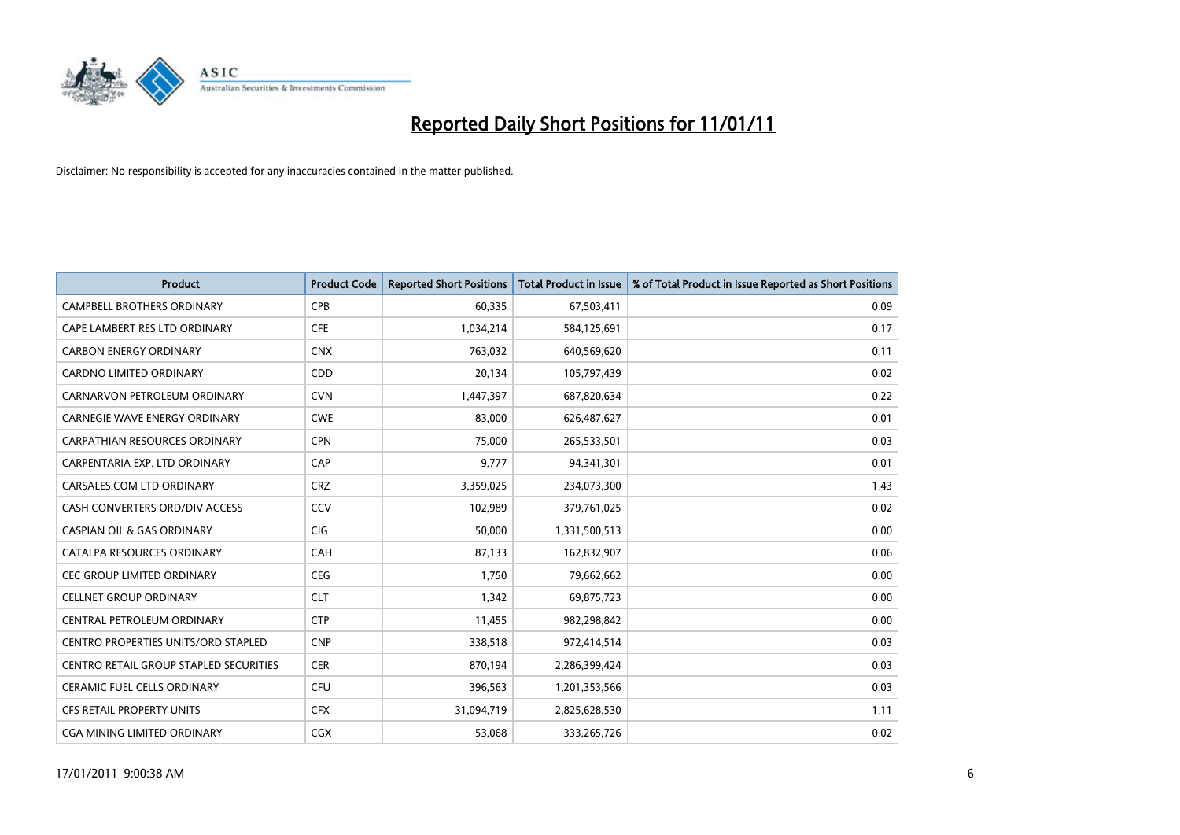

| <b>Product</b>                             | <b>Product Code</b> | <b>Reported Short Positions</b> | <b>Total Product in Issue</b> | % of Total Product in Issue Reported as Short Positions |
|--------------------------------------------|---------------------|---------------------------------|-------------------------------|---------------------------------------------------------|
| <b>CAMPBELL BROTHERS ORDINARY</b>          | CPB                 | 60,335                          | 67,503,411                    | 0.09                                                    |
| CAPE LAMBERT RES LTD ORDINARY              | <b>CFE</b>          | 1,034,214                       | 584,125,691                   | 0.17                                                    |
| <b>CARBON ENERGY ORDINARY</b>              | <b>CNX</b>          | 763.032                         | 640,569,620                   | 0.11                                                    |
| CARDNO LIMITED ORDINARY                    | CDD                 | 20,134                          | 105,797,439                   | 0.02                                                    |
| CARNARVON PETROLEUM ORDINARY               | <b>CVN</b>          | 1,447,397                       | 687,820,634                   | 0.22                                                    |
| CARNEGIE WAVE ENERGY ORDINARY              | <b>CWE</b>          | 83,000                          | 626,487,627                   | 0.01                                                    |
| CARPATHIAN RESOURCES ORDINARY              | <b>CPN</b>          | 75,000                          | 265,533,501                   | 0.03                                                    |
| CARPENTARIA EXP. LTD ORDINARY              | CAP                 | 9,777                           | 94,341,301                    | 0.01                                                    |
| CARSALES.COM LTD ORDINARY                  | <b>CRZ</b>          | 3,359,025                       | 234,073,300                   | 1.43                                                    |
| CASH CONVERTERS ORD/DIV ACCESS             | CCV                 | 102,989                         | 379,761,025                   | 0.02                                                    |
| <b>CASPIAN OIL &amp; GAS ORDINARY</b>      | CIG                 | 50,000                          | 1,331,500,513                 | 0.00                                                    |
| CATALPA RESOURCES ORDINARY                 | CAH                 | 87,133                          | 162,832,907                   | 0.06                                                    |
| CEC GROUP LIMITED ORDINARY                 | CEG                 | 1,750                           | 79,662,662                    | 0.00                                                    |
| <b>CELLNET GROUP ORDINARY</b>              | <b>CLT</b>          | 1,342                           | 69,875,723                    | 0.00                                                    |
| CENTRAL PETROLEUM ORDINARY                 | <b>CTP</b>          | 11,455                          | 982,298,842                   | 0.00                                                    |
| <b>CENTRO PROPERTIES UNITS/ORD STAPLED</b> | <b>CNP</b>          | 338,518                         | 972,414,514                   | 0.03                                                    |
| CENTRO RETAIL GROUP STAPLED SECURITIES     | <b>CER</b>          | 870,194                         | 2,286,399,424                 | 0.03                                                    |
| CERAMIC FUEL CELLS ORDINARY                | CFU                 | 396,563                         | 1,201,353,566                 | 0.03                                                    |
| <b>CFS RETAIL PROPERTY UNITS</b>           | <b>CFX</b>          | 31,094,719                      | 2,825,628,530                 | 1.11                                                    |
| CGA MINING LIMITED ORDINARY                | CGX                 | 53,068                          | 333,265,726                   | 0.02                                                    |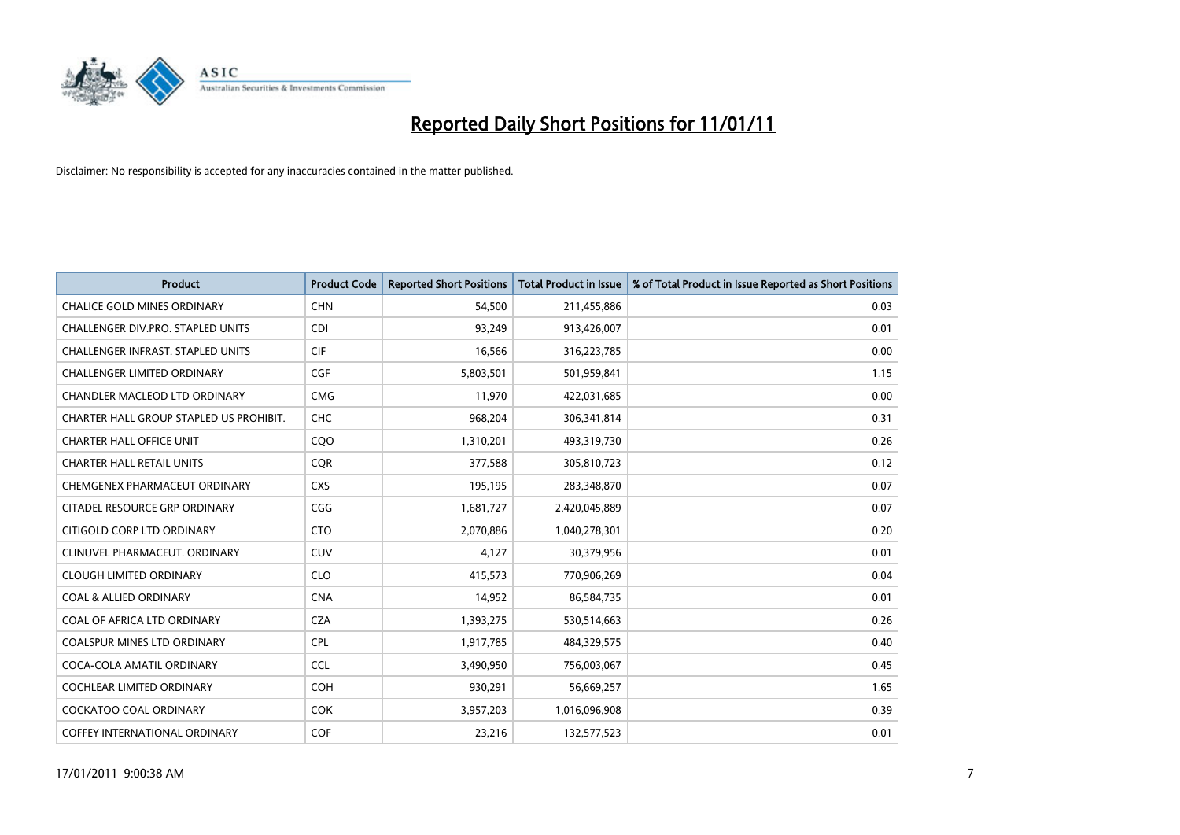

| <b>Product</b>                          | <b>Product Code</b> | <b>Reported Short Positions</b> | <b>Total Product in Issue</b> | % of Total Product in Issue Reported as Short Positions |
|-----------------------------------------|---------------------|---------------------------------|-------------------------------|---------------------------------------------------------|
| <b>CHALICE GOLD MINES ORDINARY</b>      | <b>CHN</b>          | 54.500                          | 211,455,886                   | 0.03                                                    |
| CHALLENGER DIV.PRO. STAPLED UNITS       | <b>CDI</b>          | 93,249                          | 913,426,007                   | 0.01                                                    |
| CHALLENGER INFRAST. STAPLED UNITS       | <b>CIF</b>          | 16.566                          | 316,223,785                   | 0.00                                                    |
| CHALLENGER LIMITED ORDINARY             | <b>CGF</b>          | 5,803,501                       | 501,959,841                   | 1.15                                                    |
| <b>CHANDLER MACLEOD LTD ORDINARY</b>    | <b>CMG</b>          | 11,970                          | 422,031,685                   | 0.00                                                    |
| CHARTER HALL GROUP STAPLED US PROHIBIT. | CHC                 | 968,204                         | 306,341,814                   | 0.31                                                    |
| <b>CHARTER HALL OFFICE UNIT</b>         | COO                 | 1,310,201                       | 493,319,730                   | 0.26                                                    |
| <b>CHARTER HALL RETAIL UNITS</b>        | <b>COR</b>          | 377,588                         | 305,810,723                   | 0.12                                                    |
| CHEMGENEX PHARMACEUT ORDINARY           | <b>CXS</b>          | 195,195                         | 283,348,870                   | 0.07                                                    |
| CITADEL RESOURCE GRP ORDINARY           | CGG                 | 1,681,727                       | 2,420,045,889                 | 0.07                                                    |
| CITIGOLD CORP LTD ORDINARY              | <b>CTO</b>          | 2,070,886                       | 1,040,278,301                 | 0.20                                                    |
| CLINUVEL PHARMACEUT. ORDINARY           | <b>CUV</b>          | 4,127                           | 30,379,956                    | 0.01                                                    |
| <b>CLOUGH LIMITED ORDINARY</b>          | <b>CLO</b>          | 415,573                         | 770,906,269                   | 0.04                                                    |
| <b>COAL &amp; ALLIED ORDINARY</b>       | <b>CNA</b>          | 14,952                          | 86,584,735                    | 0.01                                                    |
| COAL OF AFRICA LTD ORDINARY             | CZA                 | 1,393,275                       | 530,514,663                   | 0.26                                                    |
| COALSPUR MINES LTD ORDINARY             | <b>CPL</b>          | 1,917,785                       | 484,329,575                   | 0.40                                                    |
| COCA-COLA AMATIL ORDINARY               | <b>CCL</b>          | 3,490,950                       | 756,003,067                   | 0.45                                                    |
| COCHLEAR LIMITED ORDINARY               | <b>COH</b>          | 930,291                         | 56,669,257                    | 1.65                                                    |
| <b>COCKATOO COAL ORDINARY</b>           | <b>COK</b>          | 3,957,203                       | 1,016,096,908                 | 0.39                                                    |
| COFFEY INTERNATIONAL ORDINARY           | <b>COF</b>          | 23,216                          | 132,577,523                   | 0.01                                                    |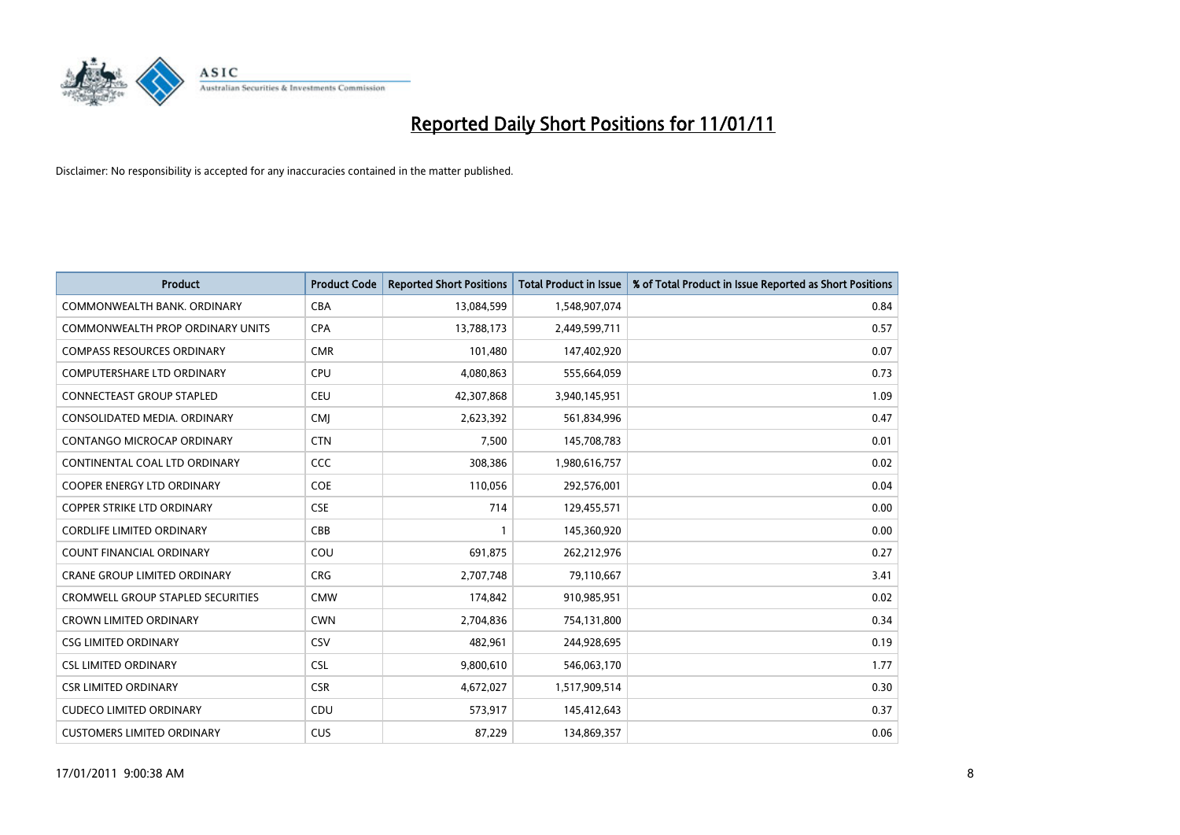

| <b>Product</b>                           | <b>Product Code</b> | <b>Reported Short Positions</b> | <b>Total Product in Issue</b> | % of Total Product in Issue Reported as Short Positions |
|------------------------------------------|---------------------|---------------------------------|-------------------------------|---------------------------------------------------------|
| COMMONWEALTH BANK, ORDINARY              | <b>CBA</b>          | 13,084,599                      | 1,548,907,074                 | 0.84                                                    |
| COMMONWEALTH PROP ORDINARY UNITS         | <b>CPA</b>          | 13,788,173                      | 2,449,599,711                 | 0.57                                                    |
| <b>COMPASS RESOURCES ORDINARY</b>        | <b>CMR</b>          | 101,480                         | 147,402,920                   | 0.07                                                    |
| COMPUTERSHARE LTD ORDINARY               | <b>CPU</b>          | 4,080,863                       | 555,664,059                   | 0.73                                                    |
| <b>CONNECTEAST GROUP STAPLED</b>         | <b>CEU</b>          | 42,307,868                      | 3,940,145,951                 | 1.09                                                    |
| CONSOLIDATED MEDIA, ORDINARY             | <b>CMJ</b>          | 2,623,392                       | 561,834,996                   | 0.47                                                    |
| CONTANGO MICROCAP ORDINARY               | <b>CTN</b>          | 7,500                           | 145,708,783                   | 0.01                                                    |
| CONTINENTAL COAL LTD ORDINARY            | CCC                 | 308,386                         | 1,980,616,757                 | 0.02                                                    |
| COOPER ENERGY LTD ORDINARY               | <b>COE</b>          | 110,056                         | 292,576,001                   | 0.04                                                    |
| <b>COPPER STRIKE LTD ORDINARY</b>        | <b>CSE</b>          | 714                             | 129,455,571                   | 0.00                                                    |
| <b>CORDLIFE LIMITED ORDINARY</b>         | CBB                 |                                 | 145,360,920                   | 0.00                                                    |
| <b>COUNT FINANCIAL ORDINARY</b>          | COU                 | 691,875                         | 262,212,976                   | 0.27                                                    |
| <b>CRANE GROUP LIMITED ORDINARY</b>      | <b>CRG</b>          | 2,707,748                       | 79,110,667                    | 3.41                                                    |
| <b>CROMWELL GROUP STAPLED SECURITIES</b> | <b>CMW</b>          | 174,842                         | 910,985,951                   | 0.02                                                    |
| <b>CROWN LIMITED ORDINARY</b>            | <b>CWN</b>          | 2,704,836                       | 754,131,800                   | 0.34                                                    |
| <b>CSG LIMITED ORDINARY</b>              | CSV                 | 482,961                         | 244,928,695                   | 0.19                                                    |
| <b>CSL LIMITED ORDINARY</b>              | <b>CSL</b>          | 9,800,610                       | 546,063,170                   | 1.77                                                    |
| <b>CSR LIMITED ORDINARY</b>              | <b>CSR</b>          | 4,672,027                       | 1,517,909,514                 | 0.30                                                    |
| <b>CUDECO LIMITED ORDINARY</b>           | CDU                 | 573,917                         | 145,412,643                   | 0.37                                                    |
| <b>CUSTOMERS LIMITED ORDINARY</b>        | CUS                 | 87,229                          | 134,869,357                   | 0.06                                                    |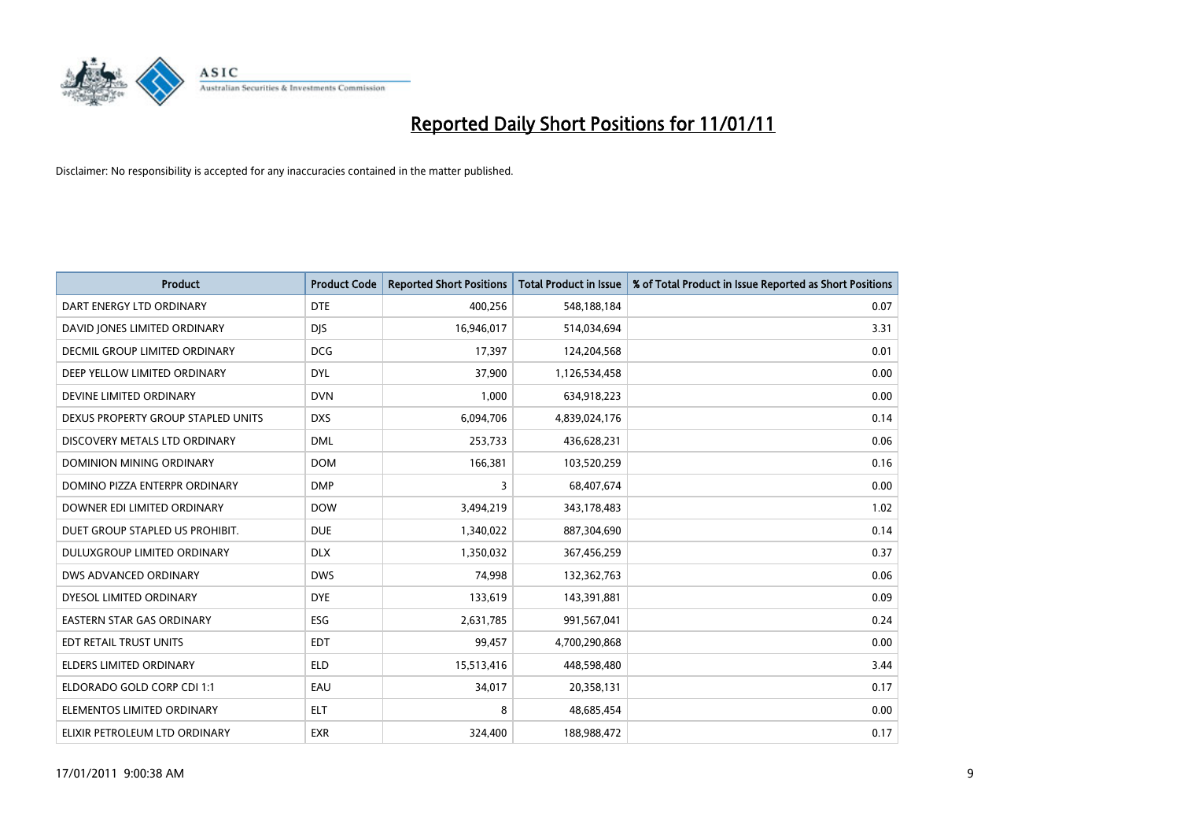

| <b>Product</b>                       | <b>Product Code</b> | <b>Reported Short Positions</b> | Total Product in Issue | % of Total Product in Issue Reported as Short Positions |
|--------------------------------------|---------------------|---------------------------------|------------------------|---------------------------------------------------------|
| DART ENERGY LTD ORDINARY             | <b>DTE</b>          | 400,256                         | 548,188,184            | 0.07                                                    |
| DAVID JONES LIMITED ORDINARY         | <b>DIS</b>          | 16,946,017                      | 514,034,694            | 3.31                                                    |
| <b>DECMIL GROUP LIMITED ORDINARY</b> | <b>DCG</b>          | 17,397                          | 124,204,568            | 0.01                                                    |
| DEEP YELLOW LIMITED ORDINARY         | <b>DYL</b>          | 37,900                          | 1,126,534,458          | 0.00                                                    |
| DEVINE LIMITED ORDINARY              | <b>DVN</b>          | 1,000                           | 634,918,223            | 0.00                                                    |
| DEXUS PROPERTY GROUP STAPLED UNITS   | <b>DXS</b>          | 6,094,706                       | 4,839,024,176          | 0.14                                                    |
| DISCOVERY METALS LTD ORDINARY        | <b>DML</b>          | 253,733                         | 436,628,231            | 0.06                                                    |
| DOMINION MINING ORDINARY             | <b>DOM</b>          | 166,381                         | 103,520,259            | 0.16                                                    |
| DOMINO PIZZA ENTERPR ORDINARY        | <b>DMP</b>          | 3                               | 68,407,674             | 0.00                                                    |
| DOWNER EDI LIMITED ORDINARY          | <b>DOW</b>          | 3,494,219                       | 343,178,483            | 1.02                                                    |
| DUET GROUP STAPLED US PROHIBIT.      | <b>DUE</b>          | 1,340,022                       | 887,304,690            | 0.14                                                    |
| <b>DULUXGROUP LIMITED ORDINARY</b>   | <b>DLX</b>          | 1,350,032                       | 367,456,259            | 0.37                                                    |
| DWS ADVANCED ORDINARY                | <b>DWS</b>          | 74,998                          | 132,362,763            | 0.06                                                    |
| DYESOL LIMITED ORDINARY              | <b>DYE</b>          | 133,619                         | 143,391,881            | 0.09                                                    |
| <b>EASTERN STAR GAS ORDINARY</b>     | <b>ESG</b>          | 2,631,785                       | 991,567,041            | 0.24                                                    |
| EDT RETAIL TRUST UNITS               | <b>EDT</b>          | 99,457                          | 4,700,290,868          | 0.00                                                    |
| ELDERS LIMITED ORDINARY              | <b>ELD</b>          | 15,513,416                      | 448,598,480            | 3.44                                                    |
| ELDORADO GOLD CORP CDI 1:1           | EAU                 | 34,017                          | 20,358,131             | 0.17                                                    |
| ELEMENTOS LIMITED ORDINARY           | <b>ELT</b>          | 8                               | 48,685,454             | 0.00                                                    |
| ELIXIR PETROLEUM LTD ORDINARY        | <b>EXR</b>          | 324,400                         | 188,988,472            | 0.17                                                    |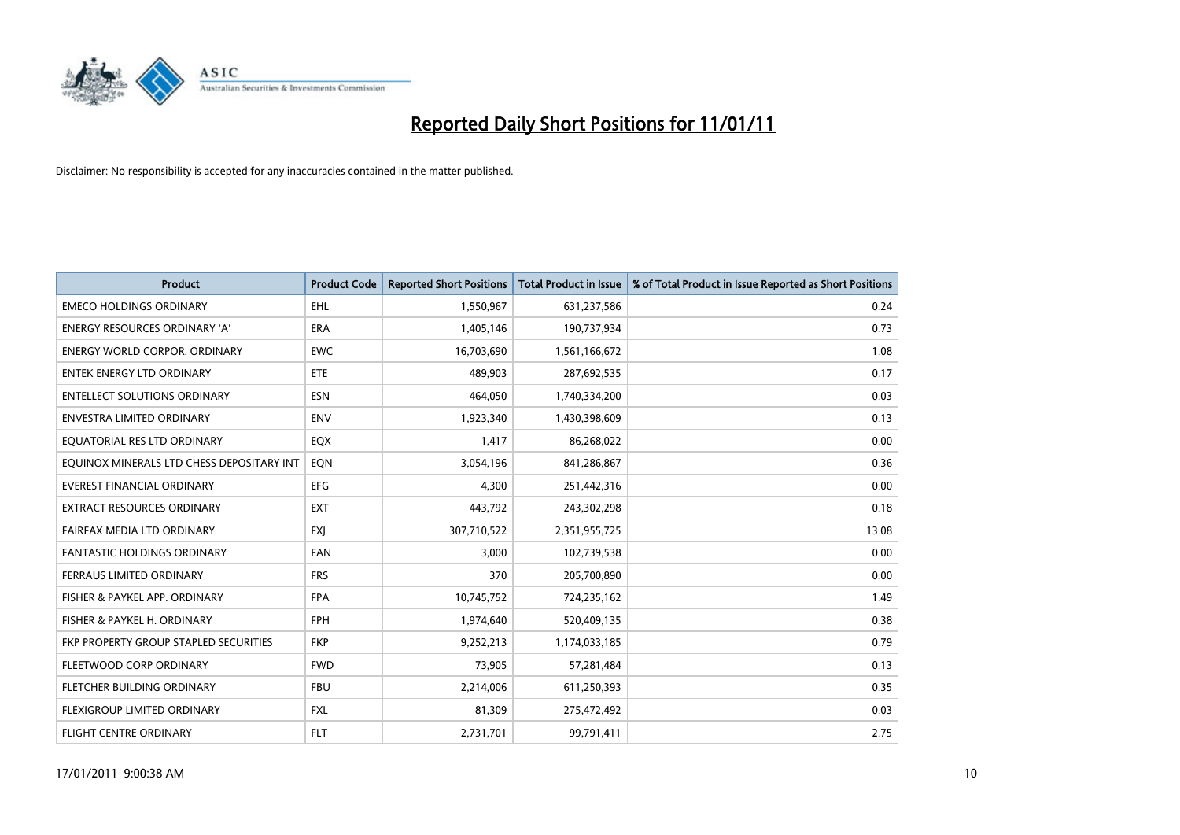

| <b>Product</b>                            | <b>Product Code</b> | <b>Reported Short Positions</b> | <b>Total Product in Issue</b> | % of Total Product in Issue Reported as Short Positions |
|-------------------------------------------|---------------------|---------------------------------|-------------------------------|---------------------------------------------------------|
| <b>EMECO HOLDINGS ORDINARY</b>            | <b>EHL</b>          | 1,550,967                       | 631,237,586                   | 0.24                                                    |
| ENERGY RESOURCES ORDINARY 'A'             | <b>ERA</b>          | 1,405,146                       | 190,737,934                   | 0.73                                                    |
| <b>ENERGY WORLD CORPOR, ORDINARY</b>      | <b>EWC</b>          | 16,703,690                      | 1,561,166,672                 | 1.08                                                    |
| <b>ENTEK ENERGY LTD ORDINARY</b>          | <b>ETE</b>          | 489,903                         | 287,692,535                   | 0.17                                                    |
| <b>ENTELLECT SOLUTIONS ORDINARY</b>       | <b>ESN</b>          | 464,050                         | 1,740,334,200                 | 0.03                                                    |
| <b>ENVESTRA LIMITED ORDINARY</b>          | <b>ENV</b>          | 1,923,340                       | 1,430,398,609                 | 0.13                                                    |
| EQUATORIAL RES LTD ORDINARY               | EQX                 | 1,417                           | 86,268,022                    | 0.00                                                    |
| EQUINOX MINERALS LTD CHESS DEPOSITARY INT | EON                 | 3,054,196                       | 841,286,867                   | 0.36                                                    |
| <b>EVEREST FINANCIAL ORDINARY</b>         | <b>EFG</b>          | 4,300                           | 251,442,316                   | 0.00                                                    |
| <b>EXTRACT RESOURCES ORDINARY</b>         | <b>EXT</b>          | 443,792                         | 243,302,298                   | 0.18                                                    |
| FAIRFAX MEDIA LTD ORDINARY                | <b>FXI</b>          | 307,710,522                     | 2,351,955,725                 | 13.08                                                   |
| <b>FANTASTIC HOLDINGS ORDINARY</b>        | <b>FAN</b>          | 3,000                           | 102,739,538                   | 0.00                                                    |
| FERRAUS LIMITED ORDINARY                  | <b>FRS</b>          | 370                             | 205,700,890                   | 0.00                                                    |
| FISHER & PAYKEL APP. ORDINARY             | <b>FPA</b>          | 10,745,752                      | 724,235,162                   | 1.49                                                    |
| FISHER & PAYKEL H. ORDINARY               | <b>FPH</b>          | 1,974,640                       | 520,409,135                   | 0.38                                                    |
| FKP PROPERTY GROUP STAPLED SECURITIES     | <b>FKP</b>          | 9,252,213                       | 1,174,033,185                 | 0.79                                                    |
| FLEETWOOD CORP ORDINARY                   | <b>FWD</b>          | 73,905                          | 57,281,484                    | 0.13                                                    |
| FLETCHER BUILDING ORDINARY                | <b>FBU</b>          | 2,214,006                       | 611,250,393                   | 0.35                                                    |
| FLEXIGROUP LIMITED ORDINARY               | <b>FXL</b>          | 81,309                          | 275,472,492                   | 0.03                                                    |
| FLIGHT CENTRE ORDINARY                    | <b>FLT</b>          | 2,731,701                       | 99,791,411                    | 2.75                                                    |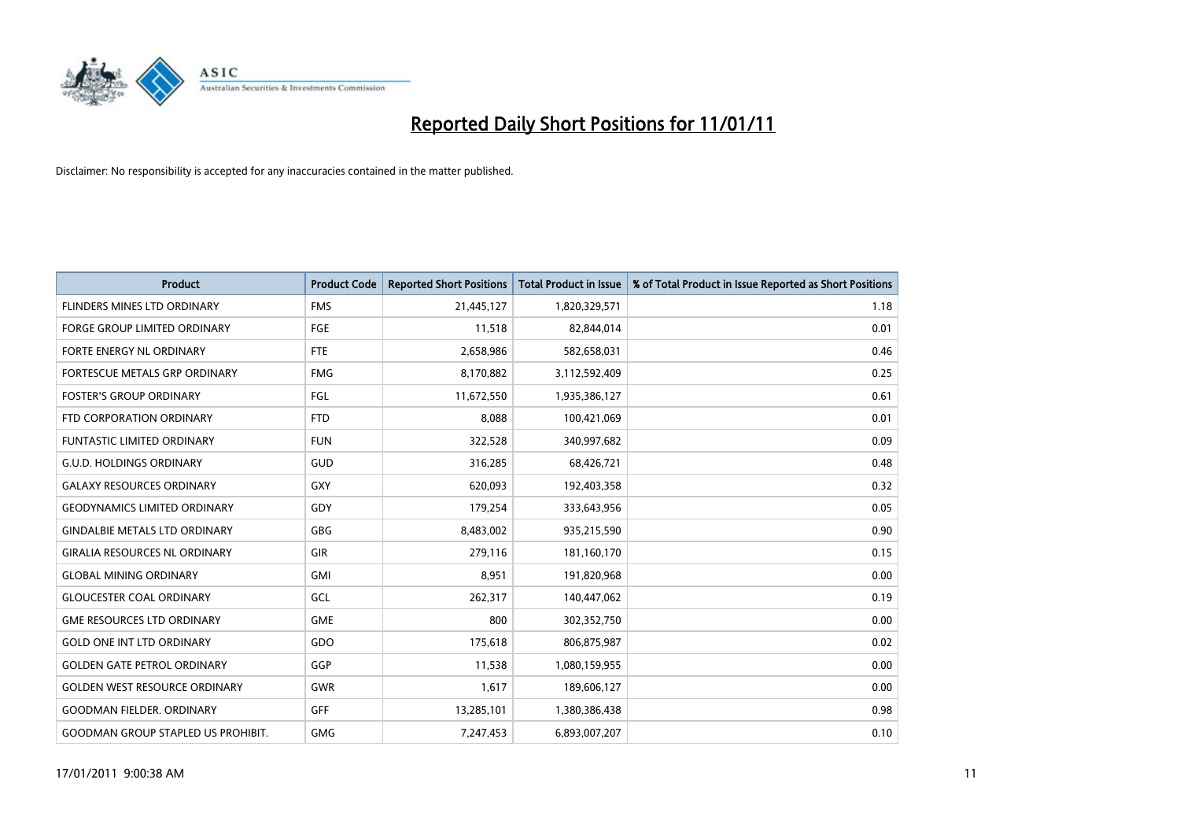

| <b>Product</b>                            | <b>Product Code</b> | <b>Reported Short Positions</b> | Total Product in Issue | % of Total Product in Issue Reported as Short Positions |
|-------------------------------------------|---------------------|---------------------------------|------------------------|---------------------------------------------------------|
| <b>FLINDERS MINES LTD ORDINARY</b>        | <b>FMS</b>          | 21,445,127                      | 1,820,329,571          | 1.18                                                    |
| FORGE GROUP LIMITED ORDINARY              | FGE                 | 11,518                          | 82,844,014             | 0.01                                                    |
| FORTE ENERGY NL ORDINARY                  | <b>FTE</b>          | 2,658,986                       | 582,658,031            | 0.46                                                    |
| FORTESCUE METALS GRP ORDINARY             | <b>FMG</b>          | 8,170,882                       | 3,112,592,409          | 0.25                                                    |
| <b>FOSTER'S GROUP ORDINARY</b>            | <b>FGL</b>          | 11,672,550                      | 1,935,386,127          | 0.61                                                    |
| FTD CORPORATION ORDINARY                  | <b>FTD</b>          | 8,088                           | 100,421,069            | 0.01                                                    |
| <b>FUNTASTIC LIMITED ORDINARY</b>         | <b>FUN</b>          | 322,528                         | 340,997,682            | 0.09                                                    |
| <b>G.U.D. HOLDINGS ORDINARY</b>           | GUD                 | 316,285                         | 68,426,721             | 0.48                                                    |
| <b>GALAXY RESOURCES ORDINARY</b>          | <b>GXY</b>          | 620,093                         | 192,403,358            | 0.32                                                    |
| <b>GEODYNAMICS LIMITED ORDINARY</b>       | GDY                 | 179,254                         | 333,643,956            | 0.05                                                    |
| <b>GINDALBIE METALS LTD ORDINARY</b>      | <b>GBG</b>          | 8,483,002                       | 935,215,590            | 0.90                                                    |
| <b>GIRALIA RESOURCES NL ORDINARY</b>      | GIR                 | 279,116                         | 181,160,170            | 0.15                                                    |
| <b>GLOBAL MINING ORDINARY</b>             | <b>GMI</b>          | 8,951                           | 191,820,968            | 0.00                                                    |
| <b>GLOUCESTER COAL ORDINARY</b>           | GCL                 | 262,317                         | 140,447,062            | 0.19                                                    |
| <b>GME RESOURCES LTD ORDINARY</b>         | <b>GME</b>          | 800                             | 302,352,750            | 0.00                                                    |
| <b>GOLD ONE INT LTD ORDINARY</b>          | GDO                 | 175,618                         | 806,875,987            | 0.02                                                    |
| <b>GOLDEN GATE PETROL ORDINARY</b>        | GGP                 | 11,538                          | 1,080,159,955          | 0.00                                                    |
| <b>GOLDEN WEST RESOURCE ORDINARY</b>      | <b>GWR</b>          | 1,617                           | 189,606,127            | 0.00                                                    |
| <b>GOODMAN FIELDER, ORDINARY</b>          | <b>GFF</b>          | 13,285,101                      | 1,380,386,438          | 0.98                                                    |
| <b>GOODMAN GROUP STAPLED US PROHIBIT.</b> | <b>GMG</b>          | 7,247,453                       | 6,893,007,207          | 0.10                                                    |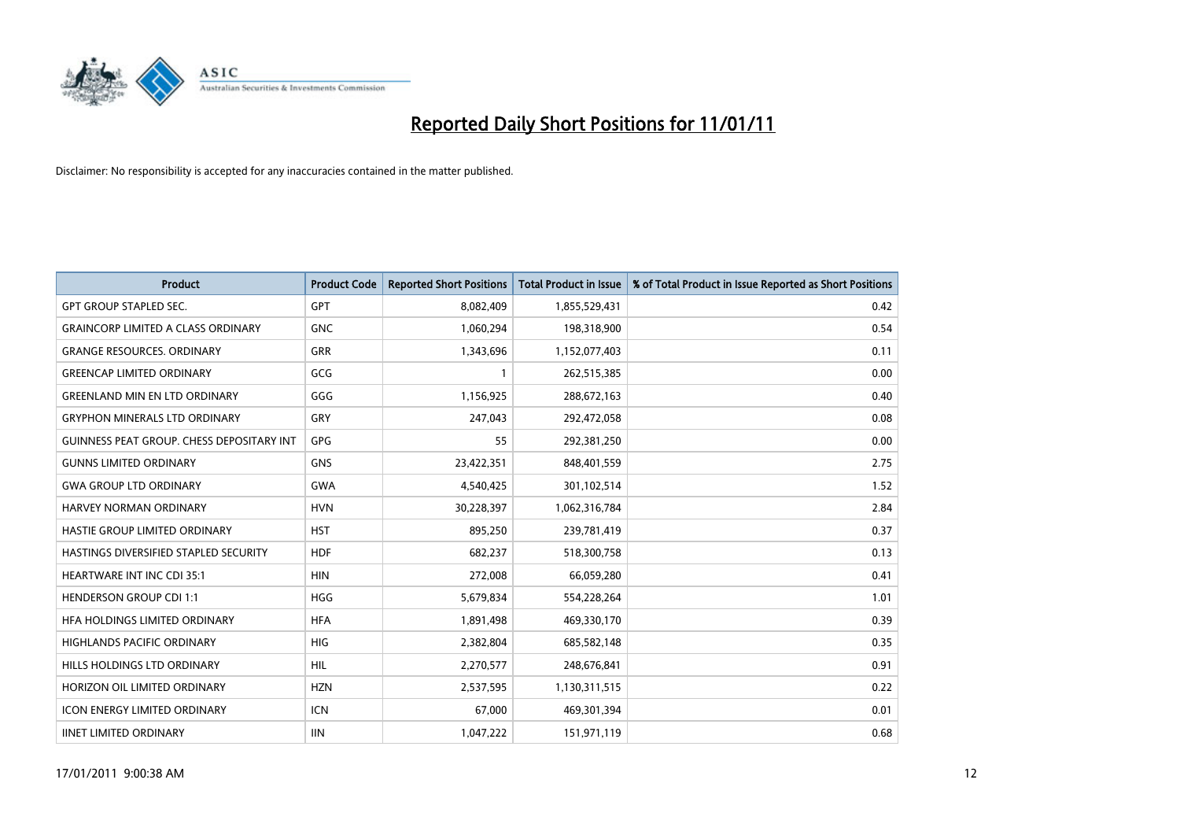

| <b>Product</b>                            | <b>Product Code</b> | <b>Reported Short Positions</b> | Total Product in Issue | % of Total Product in Issue Reported as Short Positions |
|-------------------------------------------|---------------------|---------------------------------|------------------------|---------------------------------------------------------|
| <b>GPT GROUP STAPLED SEC.</b>             | <b>GPT</b>          | 8,082,409                       | 1,855,529,431          | 0.42                                                    |
| <b>GRAINCORP LIMITED A CLASS ORDINARY</b> | <b>GNC</b>          | 1,060,294                       | 198,318,900            | 0.54                                                    |
| <b>GRANGE RESOURCES, ORDINARY</b>         | <b>GRR</b>          | 1,343,696                       | 1,152,077,403          | 0.11                                                    |
| <b>GREENCAP LIMITED ORDINARY</b>          | GCG                 |                                 | 262,515,385            | 0.00                                                    |
| <b>GREENLAND MIN EN LTD ORDINARY</b>      | GGG                 | 1,156,925                       | 288,672,163            | 0.40                                                    |
| <b>GRYPHON MINERALS LTD ORDINARY</b>      | GRY                 | 247,043                         | 292,472,058            | 0.08                                                    |
| GUINNESS PEAT GROUP. CHESS DEPOSITARY INT | <b>GPG</b>          | 55                              | 292,381,250            | 0.00                                                    |
| <b>GUNNS LIMITED ORDINARY</b>             | <b>GNS</b>          | 23,422,351                      | 848,401,559            | 2.75                                                    |
| <b>GWA GROUP LTD ORDINARY</b>             | <b>GWA</b>          | 4,540,425                       | 301,102,514            | 1.52                                                    |
| <b>HARVEY NORMAN ORDINARY</b>             | <b>HVN</b>          | 30,228,397                      | 1,062,316,784          | 2.84                                                    |
| HASTIE GROUP LIMITED ORDINARY             | <b>HST</b>          | 895,250                         | 239,781,419            | 0.37                                                    |
| HASTINGS DIVERSIFIED STAPLED SECURITY     | <b>HDF</b>          | 682,237                         | 518,300,758            | 0.13                                                    |
| <b>HEARTWARE INT INC CDI 35:1</b>         | <b>HIN</b>          | 272,008                         | 66,059,280             | 0.41                                                    |
| <b>HENDERSON GROUP CDI 1:1</b>            | <b>HGG</b>          | 5,679,834                       | 554,228,264            | 1.01                                                    |
| HFA HOLDINGS LIMITED ORDINARY             | <b>HFA</b>          | 1,891,498                       | 469,330,170            | 0.39                                                    |
| HIGHLANDS PACIFIC ORDINARY                | <b>HIG</b>          | 2,382,804                       | 685,582,148            | 0.35                                                    |
| HILLS HOLDINGS LTD ORDINARY               | <b>HIL</b>          | 2,270,577                       | 248,676,841            | 0.91                                                    |
| HORIZON OIL LIMITED ORDINARY              | <b>HZN</b>          | 2,537,595                       | 1,130,311,515          | 0.22                                                    |
| <b>ICON ENERGY LIMITED ORDINARY</b>       | <b>ICN</b>          | 67,000                          | 469,301,394            | 0.01                                                    |
| <b>IINET LIMITED ORDINARY</b>             | <b>IIN</b>          | 1,047,222                       | 151,971,119            | 0.68                                                    |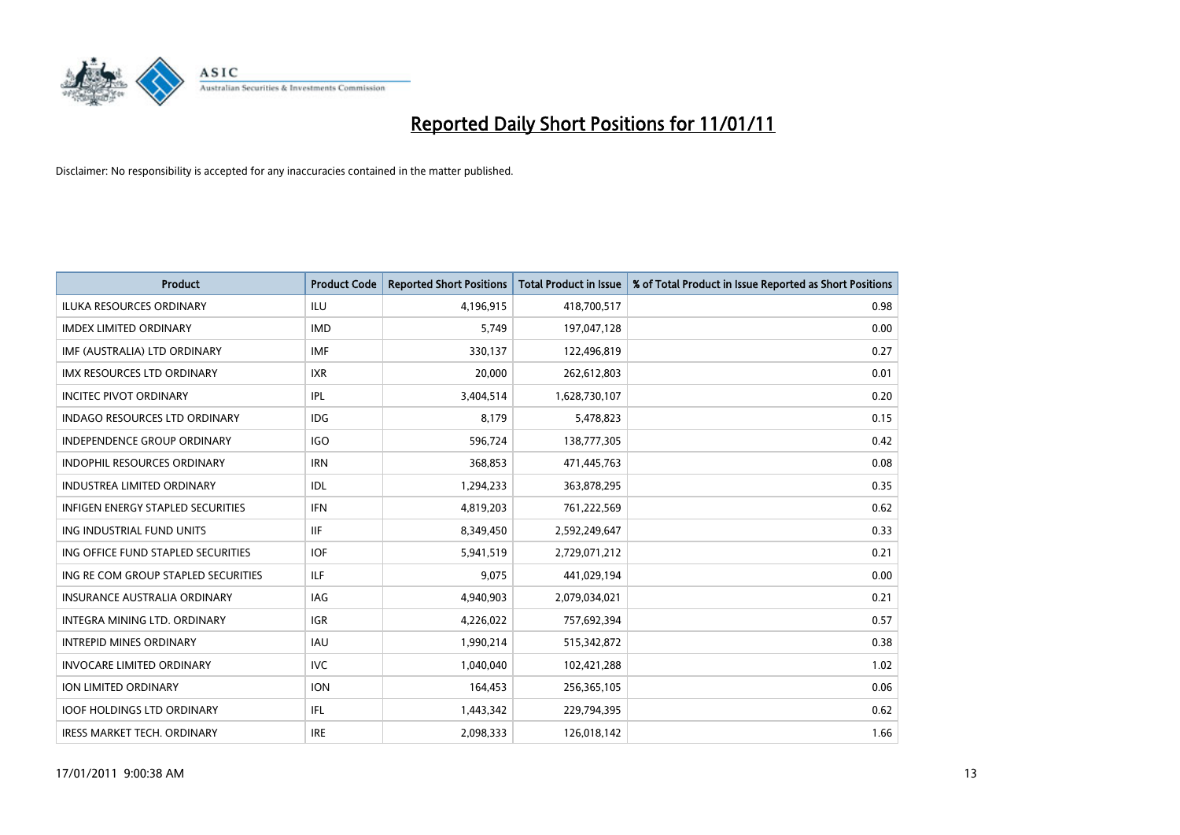

| <b>Product</b>                           | <b>Product Code</b> | <b>Reported Short Positions</b> | <b>Total Product in Issue</b> | % of Total Product in Issue Reported as Short Positions |
|------------------------------------------|---------------------|---------------------------------|-------------------------------|---------------------------------------------------------|
| <b>ILUKA RESOURCES ORDINARY</b>          | <b>ILU</b>          | 4,196,915                       | 418,700,517                   | 0.98                                                    |
| <b>IMDEX LIMITED ORDINARY</b>            | <b>IMD</b>          | 5,749                           | 197,047,128                   | 0.00                                                    |
| IMF (AUSTRALIA) LTD ORDINARY             | <b>IMF</b>          | 330,137                         | 122,496,819                   | 0.27                                                    |
| IMX RESOURCES LTD ORDINARY               | <b>IXR</b>          | 20,000                          | 262,612,803                   | 0.01                                                    |
| <b>INCITEC PIVOT ORDINARY</b>            | <b>IPL</b>          | 3,404,514                       | 1,628,730,107                 | 0.20                                                    |
| <b>INDAGO RESOURCES LTD ORDINARY</b>     | <b>IDG</b>          | 8,179                           | 5,478,823                     | 0.15                                                    |
| <b>INDEPENDENCE GROUP ORDINARY</b>       | <b>IGO</b>          | 596,724                         | 138,777,305                   | 0.42                                                    |
| INDOPHIL RESOURCES ORDINARY              | <b>IRN</b>          | 368,853                         | 471,445,763                   | 0.08                                                    |
| INDUSTREA LIMITED ORDINARY               | <b>IDL</b>          | 1,294,233                       | 363,878,295                   | 0.35                                                    |
| <b>INFIGEN ENERGY STAPLED SECURITIES</b> | <b>IFN</b>          | 4,819,203                       | 761,222,569                   | 0.62                                                    |
| ING INDUSTRIAL FUND UNITS                | <b>IIF</b>          | 8,349,450                       | 2,592,249,647                 | 0.33                                                    |
| ING OFFICE FUND STAPLED SECURITIES       | <b>IOF</b>          | 5,941,519                       | 2,729,071,212                 | 0.21                                                    |
| ING RE COM GROUP STAPLED SECURITIES      | <b>ILF</b>          | 9,075                           | 441,029,194                   | 0.00                                                    |
| <b>INSURANCE AUSTRALIA ORDINARY</b>      | <b>IAG</b>          | 4,940,903                       | 2,079,034,021                 | 0.21                                                    |
| INTEGRA MINING LTD. ORDINARY             | <b>IGR</b>          | 4,226,022                       | 757,692,394                   | 0.57                                                    |
| <b>INTREPID MINES ORDINARY</b>           | <b>IAU</b>          | 1,990,214                       | 515,342,872                   | 0.38                                                    |
| <b>INVOCARE LIMITED ORDINARY</b>         | <b>IVC</b>          | 1,040,040                       | 102,421,288                   | 1.02                                                    |
| ION LIMITED ORDINARY                     | <b>ION</b>          | 164,453                         | 256,365,105                   | 0.06                                                    |
| <b>IOOF HOLDINGS LTD ORDINARY</b>        | IFL                 | 1,443,342                       | 229,794,395                   | 0.62                                                    |
| <b>IRESS MARKET TECH. ORDINARY</b>       | <b>IRE</b>          | 2,098,333                       | 126,018,142                   | 1.66                                                    |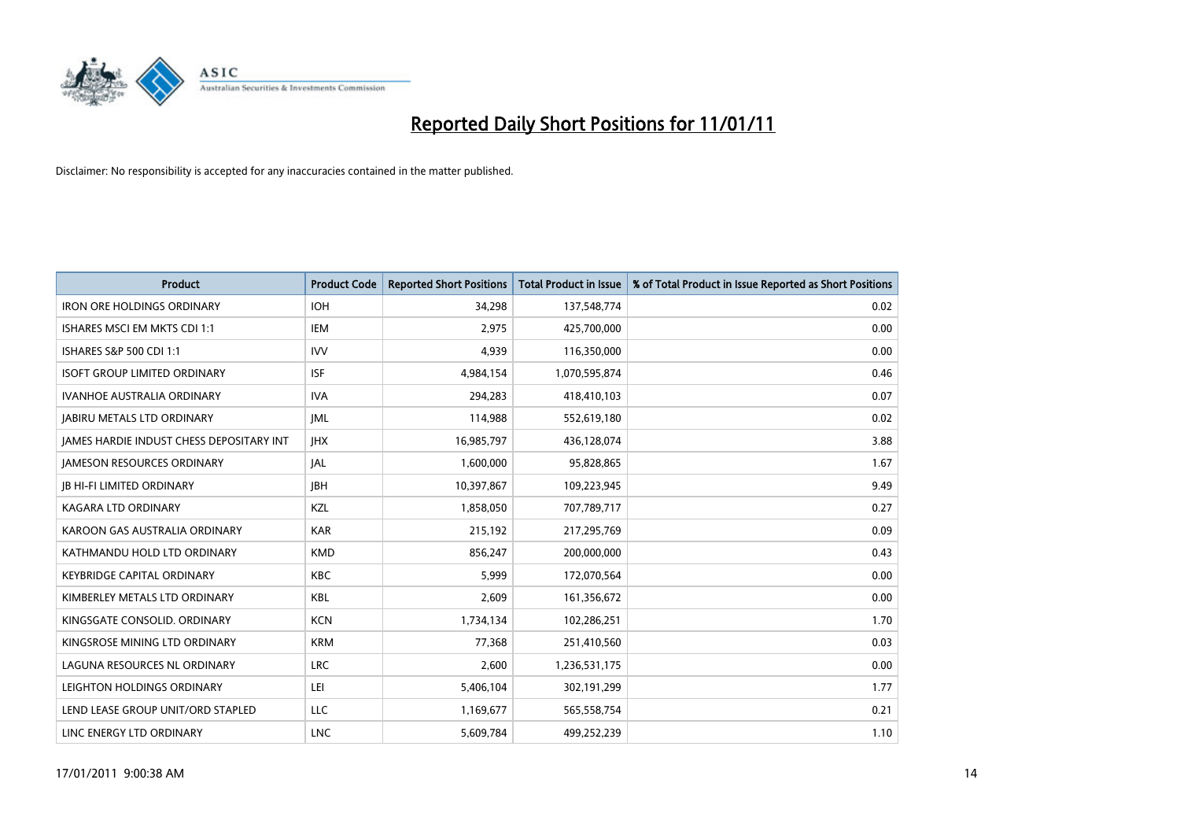

| <b>Product</b>                                  | <b>Product Code</b> | <b>Reported Short Positions</b> | <b>Total Product in Issue</b> | % of Total Product in Issue Reported as Short Positions |
|-------------------------------------------------|---------------------|---------------------------------|-------------------------------|---------------------------------------------------------|
| <b>IRON ORE HOLDINGS ORDINARY</b>               | <b>IOH</b>          | 34,298                          | 137,548,774                   | 0.02                                                    |
| ISHARES MSCI EM MKTS CDI 1:1                    | <b>IEM</b>          | 2,975                           | 425,700,000                   | 0.00                                                    |
| ISHARES S&P 500 CDI 1:1                         | <b>IVV</b>          | 4,939                           | 116,350,000                   | 0.00                                                    |
| <b>ISOFT GROUP LIMITED ORDINARY</b>             | <b>ISF</b>          | 4,984,154                       | 1,070,595,874                 | 0.46                                                    |
| <b>IVANHOE AUSTRALIA ORDINARY</b>               | <b>IVA</b>          | 294,283                         | 418,410,103                   | 0.07                                                    |
| <b>JABIRU METALS LTD ORDINARY</b>               | <b>JML</b>          | 114,988                         | 552,619,180                   | 0.02                                                    |
| <b>JAMES HARDIE INDUST CHESS DEPOSITARY INT</b> | <b>IHX</b>          | 16,985,797                      | 436,128,074                   | 3.88                                                    |
| <b>JAMESON RESOURCES ORDINARY</b>               | <b>JAL</b>          | 1,600,000                       | 95,828,865                    | 1.67                                                    |
| <b>JB HI-FI LIMITED ORDINARY</b>                | <b>IBH</b>          | 10,397,867                      | 109,223,945                   | 9.49                                                    |
| <b>KAGARA LTD ORDINARY</b>                      | KZL                 | 1,858,050                       | 707,789,717                   | 0.27                                                    |
| KAROON GAS AUSTRALIA ORDINARY                   | <b>KAR</b>          | 215,192                         | 217,295,769                   | 0.09                                                    |
| KATHMANDU HOLD LTD ORDINARY                     | <b>KMD</b>          | 856,247                         | 200,000,000                   | 0.43                                                    |
| <b>KEYBRIDGE CAPITAL ORDINARY</b>               | <b>KBC</b>          | 5,999                           | 172,070,564                   | 0.00                                                    |
| KIMBERLEY METALS LTD ORDINARY                   | <b>KBL</b>          | 2,609                           | 161,356,672                   | 0.00                                                    |
| KINGSGATE CONSOLID. ORDINARY                    | <b>KCN</b>          | 1,734,134                       | 102,286,251                   | 1.70                                                    |
| KINGSROSE MINING LTD ORDINARY                   | <b>KRM</b>          | 77,368                          | 251,410,560                   | 0.03                                                    |
| LAGUNA RESOURCES NL ORDINARY                    | <b>LRC</b>          | 2,600                           | 1,236,531,175                 | 0.00                                                    |
| LEIGHTON HOLDINGS ORDINARY                      | LEI                 | 5,406,104                       | 302,191,299                   | 1.77                                                    |
| LEND LEASE GROUP UNIT/ORD STAPLED               | LLC                 | 1,169,677                       | 565,558,754                   | 0.21                                                    |
| LINC ENERGY LTD ORDINARY                        | <b>LNC</b>          | 5,609,784                       | 499,252,239                   | 1.10                                                    |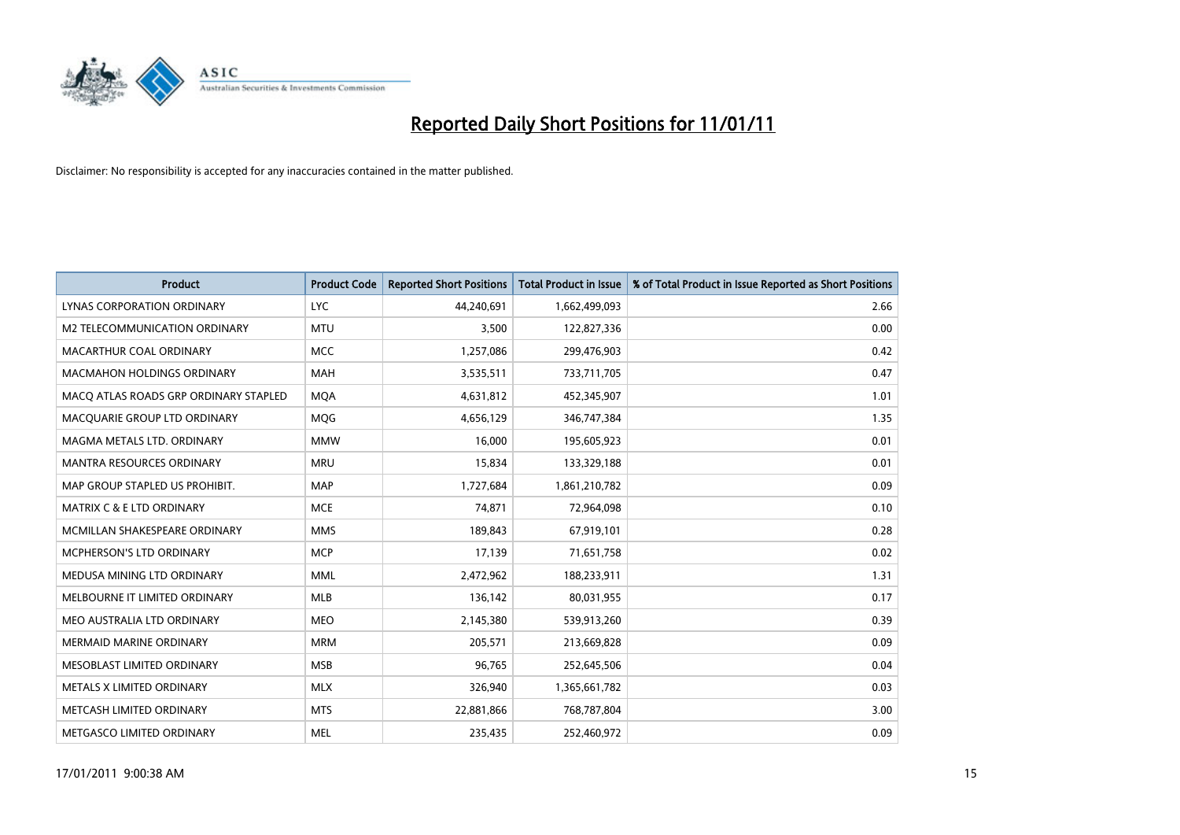

| <b>Product</b>                        | <b>Product Code</b> | <b>Reported Short Positions</b> | <b>Total Product in Issue</b> | % of Total Product in Issue Reported as Short Positions |
|---------------------------------------|---------------------|---------------------------------|-------------------------------|---------------------------------------------------------|
| LYNAS CORPORATION ORDINARY            | <b>LYC</b>          | 44,240,691                      | 1,662,499,093                 | 2.66                                                    |
| M2 TELECOMMUNICATION ORDINARY         | <b>MTU</b>          | 3,500                           | 122,827,336                   | 0.00                                                    |
| MACARTHUR COAL ORDINARY               | <b>MCC</b>          | 1,257,086                       | 299,476,903                   | 0.42                                                    |
| MACMAHON HOLDINGS ORDINARY            | <b>MAH</b>          | 3,535,511                       | 733,711,705                   | 0.47                                                    |
| MACQ ATLAS ROADS GRP ORDINARY STAPLED | <b>MOA</b>          | 4,631,812                       | 452,345,907                   | 1.01                                                    |
| MACQUARIE GROUP LTD ORDINARY          | MQG                 | 4,656,129                       | 346,747,384                   | 1.35                                                    |
| MAGMA METALS LTD. ORDINARY            | <b>MMW</b>          | 16,000                          | 195,605,923                   | 0.01                                                    |
| <b>MANTRA RESOURCES ORDINARY</b>      | <b>MRU</b>          | 15.834                          | 133,329,188                   | 0.01                                                    |
| MAP GROUP STAPLED US PROHIBIT.        | <b>MAP</b>          | 1,727,684                       | 1,861,210,782                 | 0.09                                                    |
| <b>MATRIX C &amp; E LTD ORDINARY</b>  | <b>MCE</b>          | 74.871                          | 72,964,098                    | 0.10                                                    |
| MCMILLAN SHAKESPEARE ORDINARY         | <b>MMS</b>          | 189,843                         | 67,919,101                    | 0.28                                                    |
| <b>MCPHERSON'S LTD ORDINARY</b>       | <b>MCP</b>          | 17,139                          | 71,651,758                    | 0.02                                                    |
| MEDUSA MINING LTD ORDINARY            | <b>MML</b>          | 2,472,962                       | 188,233,911                   | 1.31                                                    |
| MELBOURNE IT LIMITED ORDINARY         | <b>MLB</b>          | 136,142                         | 80,031,955                    | 0.17                                                    |
| MEO AUSTRALIA LTD ORDINARY            | <b>MEO</b>          | 2,145,380                       | 539,913,260                   | 0.39                                                    |
| <b>MERMAID MARINE ORDINARY</b>        | <b>MRM</b>          | 205,571                         | 213,669,828                   | 0.09                                                    |
| MESOBLAST LIMITED ORDINARY            | <b>MSB</b>          | 96,765                          | 252,645,506                   | 0.04                                                    |
| METALS X LIMITED ORDINARY             | <b>MLX</b>          | 326,940                         | 1,365,661,782                 | 0.03                                                    |
| METCASH LIMITED ORDINARY              | <b>MTS</b>          | 22,881,866                      | 768,787,804                   | 3.00                                                    |
| METGASCO LIMITED ORDINARY             | <b>MEL</b>          | 235,435                         | 252,460,972                   | 0.09                                                    |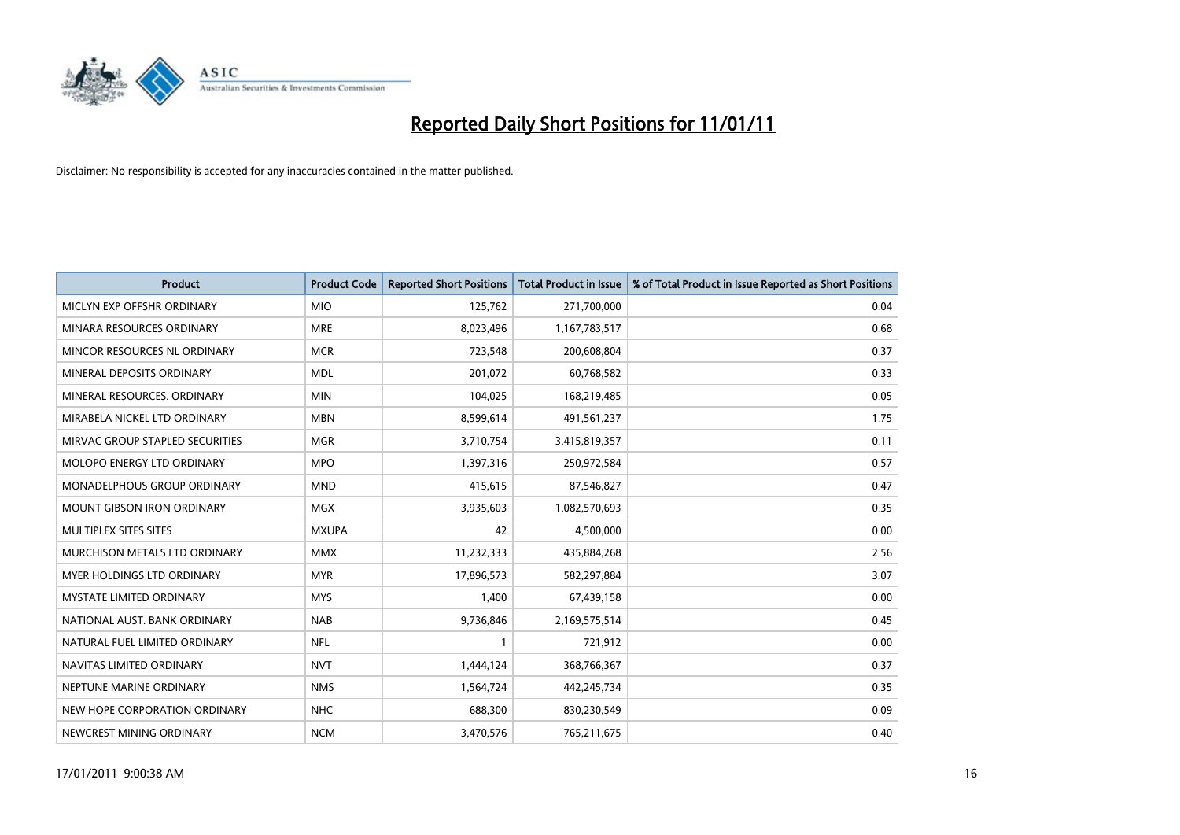

| <b>Product</b>                    | <b>Product Code</b> | <b>Reported Short Positions</b> | <b>Total Product in Issue</b> | % of Total Product in Issue Reported as Short Positions |
|-----------------------------------|---------------------|---------------------------------|-------------------------------|---------------------------------------------------------|
| MICLYN EXP OFFSHR ORDINARY        | <b>MIO</b>          | 125,762                         | 271,700,000                   | 0.04                                                    |
| MINARA RESOURCES ORDINARY         | <b>MRE</b>          | 8,023,496                       | 1,167,783,517                 | 0.68                                                    |
| MINCOR RESOURCES NL ORDINARY      | <b>MCR</b>          | 723,548                         | 200,608,804                   | 0.37                                                    |
| MINERAL DEPOSITS ORDINARY         | <b>MDL</b>          | 201,072                         | 60,768,582                    | 0.33                                                    |
| MINERAL RESOURCES, ORDINARY       | <b>MIN</b>          | 104,025                         | 168,219,485                   | 0.05                                                    |
| MIRABELA NICKEL LTD ORDINARY      | <b>MBN</b>          | 8,599,614                       | 491,561,237                   | 1.75                                                    |
| MIRVAC GROUP STAPLED SECURITIES   | <b>MGR</b>          | 3,710,754                       | 3,415,819,357                 | 0.11                                                    |
| MOLOPO ENERGY LTD ORDINARY        | <b>MPO</b>          | 1,397,316                       | 250,972,584                   | 0.57                                                    |
| MONADELPHOUS GROUP ORDINARY       | <b>MND</b>          | 415,615                         | 87,546,827                    | 0.47                                                    |
| MOUNT GIBSON IRON ORDINARY        | <b>MGX</b>          | 3,935,603                       | 1,082,570,693                 | 0.35                                                    |
| MULTIPLEX SITES SITES             | <b>MXUPA</b>        | 42                              | 4,500,000                     | 0.00                                                    |
| MURCHISON METALS LTD ORDINARY     | <b>MMX</b>          | 11,232,333                      | 435,884,268                   | 2.56                                                    |
| <b>MYER HOLDINGS LTD ORDINARY</b> | <b>MYR</b>          | 17,896,573                      | 582,297,884                   | 3.07                                                    |
| <b>MYSTATE LIMITED ORDINARY</b>   | <b>MYS</b>          | 1,400                           | 67,439,158                    | 0.00                                                    |
| NATIONAL AUST. BANK ORDINARY      | <b>NAB</b>          | 9,736,846                       | 2,169,575,514                 | 0.45                                                    |
| NATURAL FUEL LIMITED ORDINARY     | <b>NFL</b>          |                                 | 721,912                       | 0.00                                                    |
| NAVITAS LIMITED ORDINARY          | <b>NVT</b>          | 1,444,124                       | 368,766,367                   | 0.37                                                    |
| NEPTUNE MARINE ORDINARY           | <b>NMS</b>          | 1,564,724                       | 442,245,734                   | 0.35                                                    |
| NEW HOPE CORPORATION ORDINARY     | <b>NHC</b>          | 688,300                         | 830,230,549                   | 0.09                                                    |
| NEWCREST MINING ORDINARY          | <b>NCM</b>          | 3,470,576                       | 765,211,675                   | 0.40                                                    |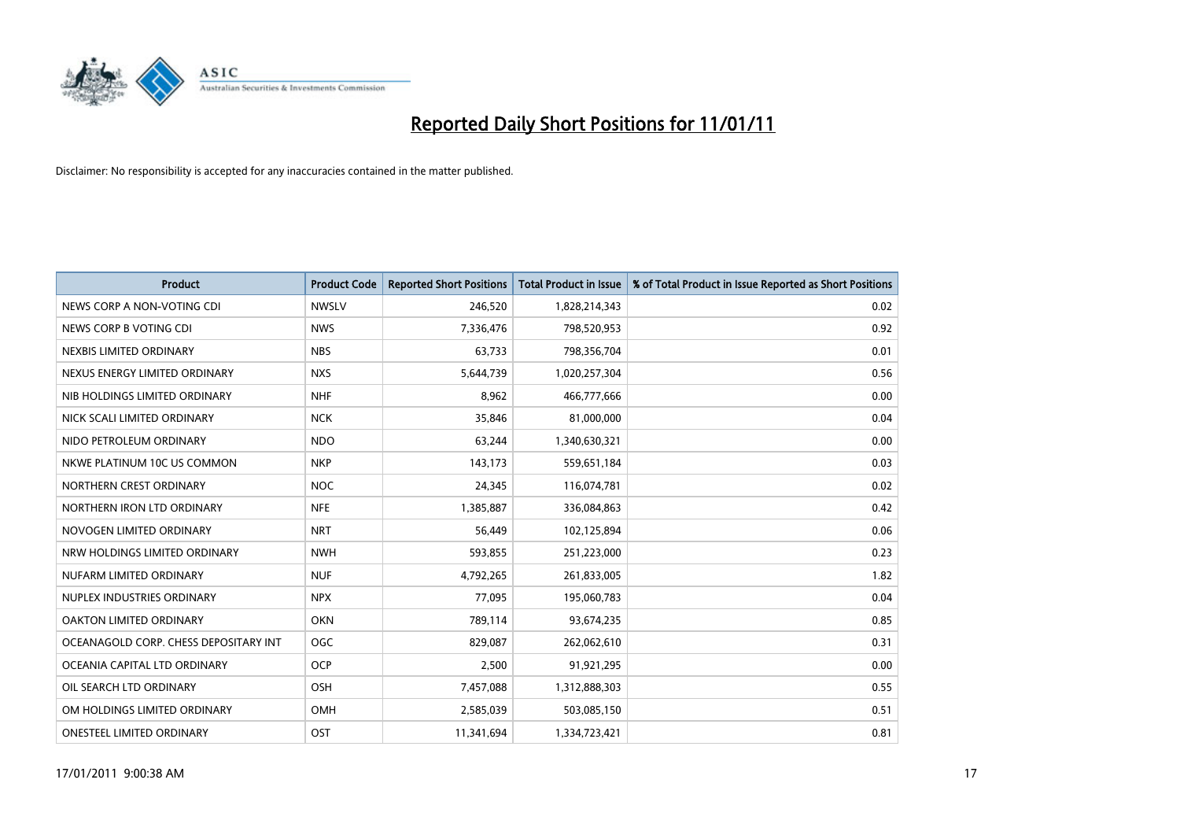

| <b>Product</b>                        | <b>Product Code</b> | <b>Reported Short Positions</b> | Total Product in Issue | % of Total Product in Issue Reported as Short Positions |
|---------------------------------------|---------------------|---------------------------------|------------------------|---------------------------------------------------------|
| NEWS CORP A NON-VOTING CDI            | <b>NWSLV</b>        | 246,520                         | 1,828,214,343          | 0.02                                                    |
| NEWS CORP B VOTING CDI                | <b>NWS</b>          | 7,336,476                       | 798,520,953            | 0.92                                                    |
| NEXBIS LIMITED ORDINARY               | <b>NBS</b>          | 63,733                          | 798,356,704            | 0.01                                                    |
| NEXUS ENERGY LIMITED ORDINARY         | <b>NXS</b>          | 5,644,739                       | 1,020,257,304          | 0.56                                                    |
| NIB HOLDINGS LIMITED ORDINARY         | <b>NHF</b>          | 8,962                           | 466,777,666            | 0.00                                                    |
| NICK SCALI LIMITED ORDINARY           | <b>NCK</b>          | 35,846                          | 81,000,000             | 0.04                                                    |
| NIDO PETROLEUM ORDINARY               | <b>NDO</b>          | 63,244                          | 1,340,630,321          | 0.00                                                    |
| NKWE PLATINUM 10C US COMMON           | <b>NKP</b>          | 143,173                         | 559,651,184            | 0.03                                                    |
| NORTHERN CREST ORDINARY               | <b>NOC</b>          | 24,345                          | 116,074,781            | 0.02                                                    |
| NORTHERN IRON LTD ORDINARY            | <b>NFE</b>          | 1,385,887                       | 336,084,863            | 0.42                                                    |
| NOVOGEN LIMITED ORDINARY              | <b>NRT</b>          | 56,449                          | 102,125,894            | 0.06                                                    |
| NRW HOLDINGS LIMITED ORDINARY         | <b>NWH</b>          | 593,855                         | 251,223,000            | 0.23                                                    |
| NUFARM LIMITED ORDINARY               | <b>NUF</b>          | 4,792,265                       | 261,833,005            | 1.82                                                    |
| NUPLEX INDUSTRIES ORDINARY            | <b>NPX</b>          | 77.095                          | 195,060,783            | 0.04                                                    |
| <b>OAKTON LIMITED ORDINARY</b>        | <b>OKN</b>          | 789,114                         | 93,674,235             | 0.85                                                    |
| OCEANAGOLD CORP. CHESS DEPOSITARY INT | <b>OGC</b>          | 829.087                         | 262,062,610            | 0.31                                                    |
| OCEANIA CAPITAL LTD ORDINARY          | <b>OCP</b>          | 2,500                           | 91,921,295             | 0.00                                                    |
| OIL SEARCH LTD ORDINARY               | OSH                 | 7,457,088                       | 1,312,888,303          | 0.55                                                    |
| OM HOLDINGS LIMITED ORDINARY          | <b>OMH</b>          | 2,585,039                       | 503,085,150            | 0.51                                                    |
| <b>ONESTEEL LIMITED ORDINARY</b>      | OST                 | 11,341,694                      | 1,334,723,421          | 0.81                                                    |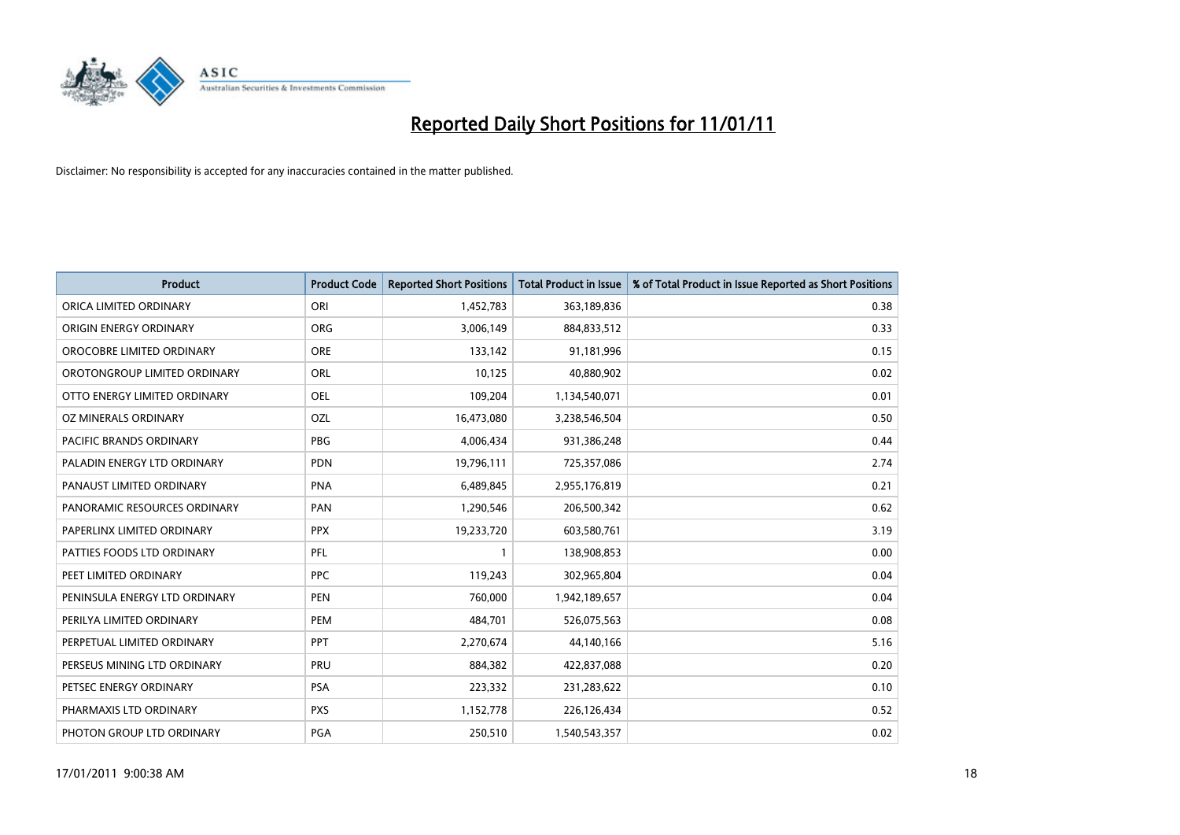

| <b>Product</b>                 | <b>Product Code</b> | <b>Reported Short Positions</b> | <b>Total Product in Issue</b> | % of Total Product in Issue Reported as Short Positions |
|--------------------------------|---------------------|---------------------------------|-------------------------------|---------------------------------------------------------|
| ORICA LIMITED ORDINARY         | ORI                 | 1,452,783                       | 363,189,836                   | 0.38                                                    |
| ORIGIN ENERGY ORDINARY         | ORG                 | 3,006,149                       | 884,833,512                   | 0.33                                                    |
| OROCOBRE LIMITED ORDINARY      | <b>ORE</b>          | 133,142                         | 91,181,996                    | 0.15                                                    |
| OROTONGROUP LIMITED ORDINARY   | <b>ORL</b>          | 10,125                          | 40,880,902                    | 0.02                                                    |
| OTTO ENERGY LIMITED ORDINARY   | OEL                 | 109,204                         | 1,134,540,071                 | 0.01                                                    |
| OZ MINERALS ORDINARY           | <b>OZL</b>          | 16,473,080                      | 3,238,546,504                 | 0.50                                                    |
| <b>PACIFIC BRANDS ORDINARY</b> | <b>PBG</b>          | 4,006,434                       | 931,386,248                   | 0.44                                                    |
| PALADIN ENERGY LTD ORDINARY    | <b>PDN</b>          | 19,796,111                      | 725,357,086                   | 2.74                                                    |
| PANAUST LIMITED ORDINARY       | <b>PNA</b>          | 6,489,845                       | 2,955,176,819                 | 0.21                                                    |
| PANORAMIC RESOURCES ORDINARY   | PAN                 | 1,290,546                       | 206,500,342                   | 0.62                                                    |
| PAPERLINX LIMITED ORDINARY     | <b>PPX</b>          | 19,233,720                      | 603,580,761                   | 3.19                                                    |
| PATTIES FOODS LTD ORDINARY     | PFL                 |                                 | 138,908,853                   | 0.00                                                    |
| PEET LIMITED ORDINARY          | <b>PPC</b>          | 119,243                         | 302,965,804                   | 0.04                                                    |
| PENINSULA ENERGY LTD ORDINARY  | <b>PEN</b>          | 760,000                         | 1,942,189,657                 | 0.04                                                    |
| PERILYA LIMITED ORDINARY       | PEM                 | 484,701                         | 526,075,563                   | 0.08                                                    |
| PERPETUAL LIMITED ORDINARY     | PPT                 | 2,270,674                       | 44,140,166                    | 5.16                                                    |
| PERSEUS MINING LTD ORDINARY    | PRU                 | 884,382                         | 422,837,088                   | 0.20                                                    |
| PETSEC ENERGY ORDINARY         | <b>PSA</b>          | 223,332                         | 231,283,622                   | 0.10                                                    |
| PHARMAXIS LTD ORDINARY         | <b>PXS</b>          | 1,152,778                       | 226,126,434                   | 0.52                                                    |
| PHOTON GROUP LTD ORDINARY      | <b>PGA</b>          | 250,510                         | 1,540,543,357                 | 0.02                                                    |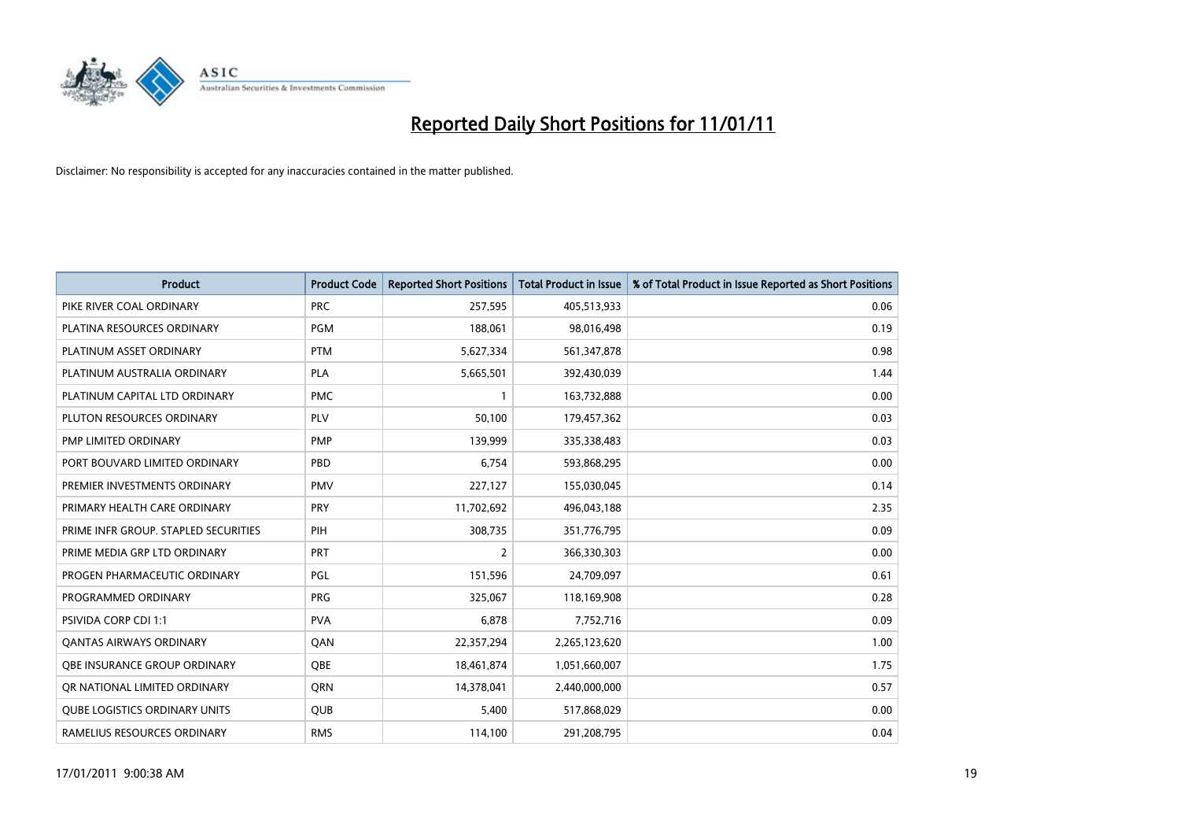

| <b>Product</b>                       | <b>Product Code</b> | <b>Reported Short Positions</b> | <b>Total Product in Issue</b> | % of Total Product in Issue Reported as Short Positions |
|--------------------------------------|---------------------|---------------------------------|-------------------------------|---------------------------------------------------------|
| PIKE RIVER COAL ORDINARY             | <b>PRC</b>          | 257,595                         | 405,513,933                   | 0.06                                                    |
| PLATINA RESOURCES ORDINARY           | <b>PGM</b>          | 188,061                         | 98,016,498                    | 0.19                                                    |
| PLATINUM ASSET ORDINARY              | <b>PTM</b>          | 5,627,334                       | 561,347,878                   | 0.98                                                    |
| PLATINUM AUSTRALIA ORDINARY          | <b>PLA</b>          | 5,665,501                       | 392,430,039                   | 1.44                                                    |
| PLATINUM CAPITAL LTD ORDINARY        | <b>PMC</b>          |                                 | 163,732,888                   | 0.00                                                    |
| PLUTON RESOURCES ORDINARY            | PLV                 | 50,100                          | 179,457,362                   | 0.03                                                    |
| <b>PMP LIMITED ORDINARY</b>          | <b>PMP</b>          | 139,999                         | 335,338,483                   | 0.03                                                    |
| PORT BOUVARD LIMITED ORDINARY        | PBD                 | 6,754                           | 593,868,295                   | 0.00                                                    |
| PREMIER INVESTMENTS ORDINARY         | <b>PMV</b>          | 227,127                         | 155,030,045                   | 0.14                                                    |
| PRIMARY HEALTH CARE ORDINARY         | <b>PRY</b>          | 11,702,692                      | 496,043,188                   | 2.35                                                    |
| PRIME INFR GROUP. STAPLED SECURITIES | PIH                 | 308,735                         | 351,776,795                   | 0.09                                                    |
| PRIME MEDIA GRP LTD ORDINARY         | PRT                 | 2                               | 366,330,303                   | 0.00                                                    |
| PROGEN PHARMACEUTIC ORDINARY         | <b>PGL</b>          | 151,596                         | 24,709,097                    | 0.61                                                    |
| PROGRAMMED ORDINARY                  | PRG                 | 325,067                         | 118,169,908                   | 0.28                                                    |
| PSIVIDA CORP CDI 1:1                 | <b>PVA</b>          | 6,878                           | 7,752,716                     | 0.09                                                    |
| <b>QANTAS AIRWAYS ORDINARY</b>       | QAN                 | 22,357,294                      | 2,265,123,620                 | 1.00                                                    |
| OBE INSURANCE GROUP ORDINARY         | <b>OBE</b>          | 18,461,874                      | 1,051,660,007                 | 1.75                                                    |
| OR NATIONAL LIMITED ORDINARY         | <b>ORN</b>          | 14,378,041                      | 2,440,000,000                 | 0.57                                                    |
| <b>QUBE LOGISTICS ORDINARY UNITS</b> | <b>QUB</b>          | 5,400                           | 517,868,029                   | 0.00                                                    |
| RAMELIUS RESOURCES ORDINARY          | <b>RMS</b>          | 114,100                         | 291,208,795                   | 0.04                                                    |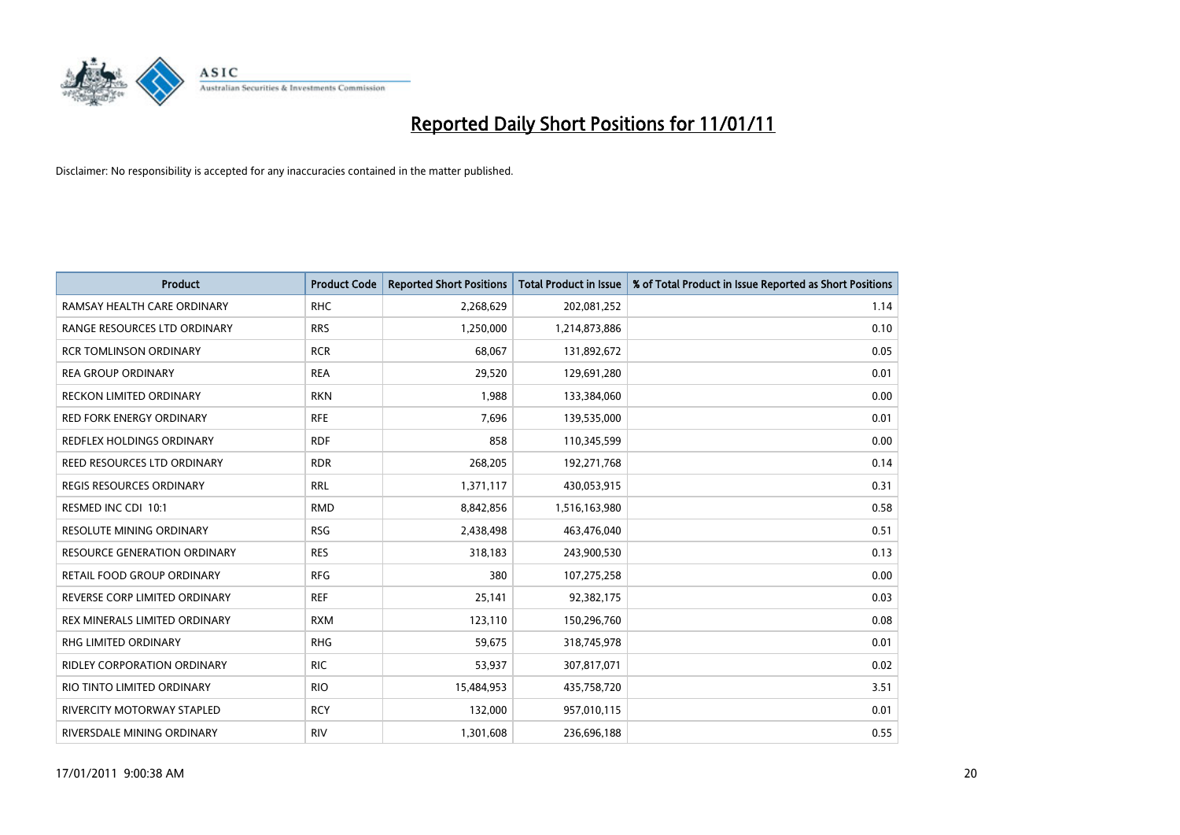

| <b>Product</b>                     | <b>Product Code</b> | <b>Reported Short Positions</b> | <b>Total Product in Issue</b> | % of Total Product in Issue Reported as Short Positions |
|------------------------------------|---------------------|---------------------------------|-------------------------------|---------------------------------------------------------|
| RAMSAY HEALTH CARE ORDINARY        | <b>RHC</b>          | 2,268,629                       | 202,081,252                   | 1.14                                                    |
| RANGE RESOURCES LTD ORDINARY       | <b>RRS</b>          | 1,250,000                       | 1,214,873,886                 | 0.10                                                    |
| <b>RCR TOMLINSON ORDINARY</b>      | <b>RCR</b>          | 68.067                          | 131,892,672                   | 0.05                                                    |
| <b>REA GROUP ORDINARY</b>          | <b>REA</b>          | 29,520                          | 129,691,280                   | 0.01                                                    |
| <b>RECKON LIMITED ORDINARY</b>     | <b>RKN</b>          | 1,988                           | 133,384,060                   | 0.00                                                    |
| <b>RED FORK ENERGY ORDINARY</b>    | <b>RFE</b>          | 7,696                           | 139,535,000                   | 0.01                                                    |
| REDFLEX HOLDINGS ORDINARY          | <b>RDF</b>          | 858                             | 110,345,599                   | 0.00                                                    |
| REED RESOURCES LTD ORDINARY        | <b>RDR</b>          | 268,205                         | 192,271,768                   | 0.14                                                    |
| REGIS RESOURCES ORDINARY           | <b>RRL</b>          | 1,371,117                       | 430,053,915                   | 0.31                                                    |
| RESMED INC CDI 10:1                | <b>RMD</b>          | 8,842,856                       | 1,516,163,980                 | 0.58                                                    |
| <b>RESOLUTE MINING ORDINARY</b>    | <b>RSG</b>          | 2,438,498                       | 463,476,040                   | 0.51                                                    |
| RESOURCE GENERATION ORDINARY       | <b>RES</b>          | 318,183                         | 243,900,530                   | 0.13                                                    |
| RETAIL FOOD GROUP ORDINARY         | <b>RFG</b>          | 380                             | 107,275,258                   | 0.00                                                    |
| REVERSE CORP LIMITED ORDINARY      | <b>REF</b>          | 25,141                          | 92,382,175                    | 0.03                                                    |
| REX MINERALS LIMITED ORDINARY      | <b>RXM</b>          | 123,110                         | 150,296,760                   | 0.08                                                    |
| RHG LIMITED ORDINARY               | <b>RHG</b>          | 59,675                          | 318,745,978                   | 0.01                                                    |
| <b>RIDLEY CORPORATION ORDINARY</b> | <b>RIC</b>          | 53,937                          | 307,817,071                   | 0.02                                                    |
| RIO TINTO LIMITED ORDINARY         | <b>RIO</b>          | 15,484,953                      | 435,758,720                   | 3.51                                                    |
| RIVERCITY MOTORWAY STAPLED         | <b>RCY</b>          | 132,000                         | 957,010,115                   | 0.01                                                    |
| RIVERSDALE MINING ORDINARY         | <b>RIV</b>          | 1,301,608                       | 236,696,188                   | 0.55                                                    |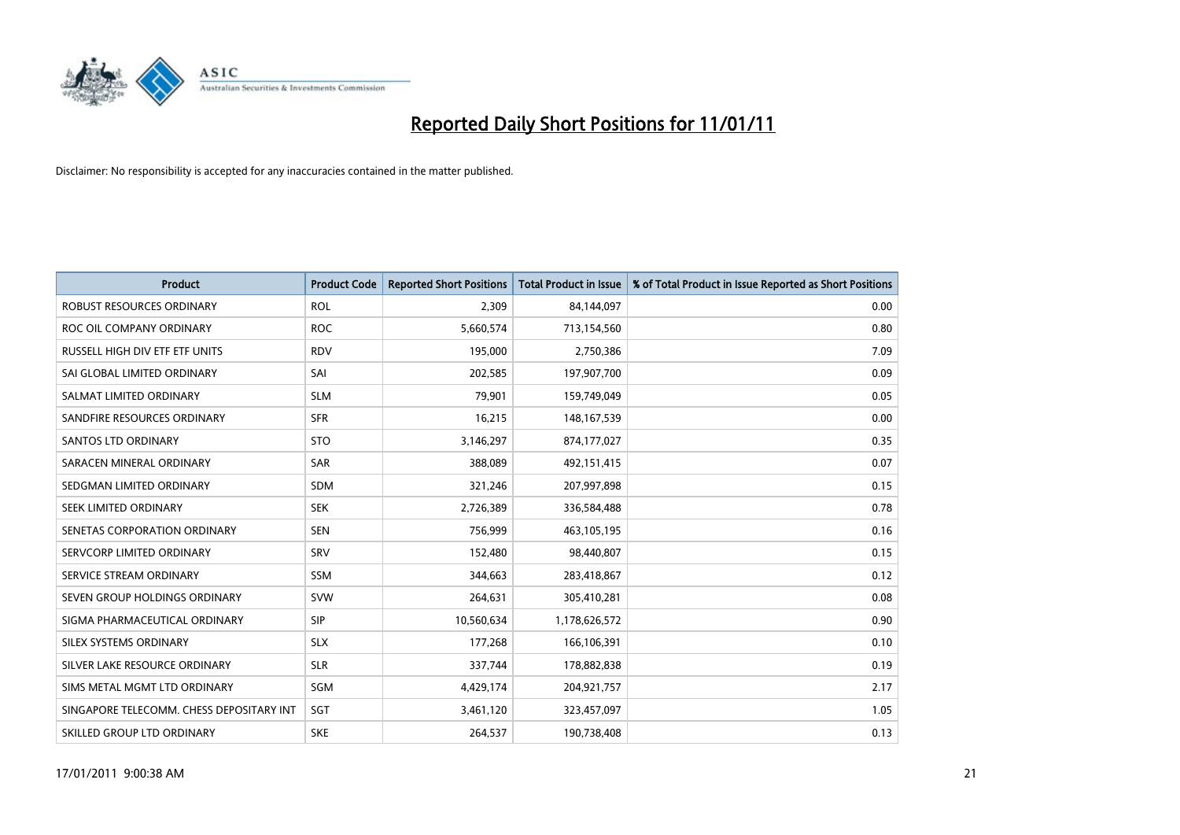

| <b>Product</b>                           | <b>Product Code</b> | <b>Reported Short Positions</b> | <b>Total Product in Issue</b> | % of Total Product in Issue Reported as Short Positions |
|------------------------------------------|---------------------|---------------------------------|-------------------------------|---------------------------------------------------------|
| <b>ROBUST RESOURCES ORDINARY</b>         | <b>ROL</b>          | 2,309                           | 84,144,097                    | 0.00                                                    |
| ROC OIL COMPANY ORDINARY                 | <b>ROC</b>          | 5,660,574                       | 713,154,560                   | 0.80                                                    |
| RUSSELL HIGH DIV ETF ETF UNITS           | <b>RDV</b>          | 195,000                         | 2,750,386                     | 7.09                                                    |
| SAI GLOBAL LIMITED ORDINARY              | SAI                 | 202,585                         | 197,907,700                   | 0.09                                                    |
| SALMAT LIMITED ORDINARY                  | <b>SLM</b>          | 79,901                          | 159,749,049                   | 0.05                                                    |
| SANDFIRE RESOURCES ORDINARY              | <b>SFR</b>          | 16,215                          | 148,167,539                   | 0.00                                                    |
| <b>SANTOS LTD ORDINARY</b>               | <b>STO</b>          | 3,146,297                       | 874,177,027                   | 0.35                                                    |
| SARACEN MINERAL ORDINARY                 | <b>SAR</b>          | 388,089                         | 492,151,415                   | 0.07                                                    |
| SEDGMAN LIMITED ORDINARY                 | <b>SDM</b>          | 321,246                         | 207,997,898                   | 0.15                                                    |
| SEEK LIMITED ORDINARY                    | <b>SEK</b>          | 2,726,389                       | 336,584,488                   | 0.78                                                    |
| SENETAS CORPORATION ORDINARY             | <b>SEN</b>          | 756,999                         | 463,105,195                   | 0.16                                                    |
| SERVCORP LIMITED ORDINARY                | SRV                 | 152,480                         | 98,440,807                    | 0.15                                                    |
| SERVICE STREAM ORDINARY                  | <b>SSM</b>          | 344,663                         | 283,418,867                   | 0.12                                                    |
| SEVEN GROUP HOLDINGS ORDINARY            | <b>SVW</b>          | 264,631                         | 305,410,281                   | 0.08                                                    |
| SIGMA PHARMACEUTICAL ORDINARY            | SIP                 | 10,560,634                      | 1,178,626,572                 | 0.90                                                    |
| SILEX SYSTEMS ORDINARY                   | <b>SLX</b>          | 177,268                         | 166,106,391                   | 0.10                                                    |
| SILVER LAKE RESOURCE ORDINARY            | <b>SLR</b>          | 337,744                         | 178,882,838                   | 0.19                                                    |
| SIMS METAL MGMT LTD ORDINARY             | SGM                 | 4,429,174                       | 204,921,757                   | 2.17                                                    |
| SINGAPORE TELECOMM. CHESS DEPOSITARY INT | SGT                 | 3,461,120                       | 323,457,097                   | 1.05                                                    |
| SKILLED GROUP LTD ORDINARY               | <b>SKE</b>          | 264,537                         | 190,738,408                   | 0.13                                                    |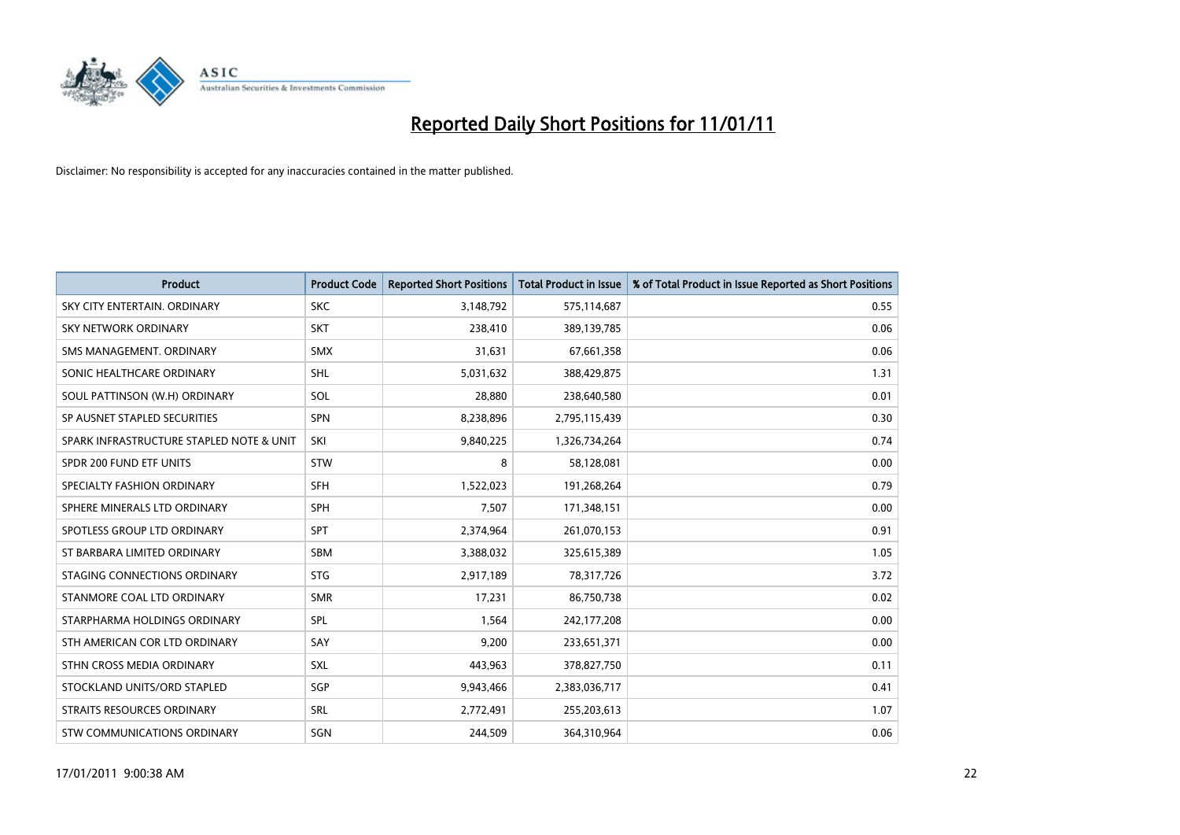

| <b>Product</b>                           | <b>Product Code</b> | <b>Reported Short Positions</b> | Total Product in Issue | % of Total Product in Issue Reported as Short Positions |
|------------------------------------------|---------------------|---------------------------------|------------------------|---------------------------------------------------------|
| SKY CITY ENTERTAIN, ORDINARY             | <b>SKC</b>          | 3,148,792                       | 575,114,687            | 0.55                                                    |
| SKY NETWORK ORDINARY                     | <b>SKT</b>          | 238,410                         | 389,139,785            | 0.06                                                    |
| SMS MANAGEMENT, ORDINARY                 | <b>SMX</b>          | 31.631                          | 67,661,358             | 0.06                                                    |
| SONIC HEALTHCARE ORDINARY                | <b>SHL</b>          | 5,031,632                       | 388,429,875            | 1.31                                                    |
| SOUL PATTINSON (W.H) ORDINARY            | SOL                 | 28,880                          | 238,640,580            | 0.01                                                    |
| SP AUSNET STAPLED SECURITIES             | <b>SPN</b>          | 8,238,896                       | 2,795,115,439          | 0.30                                                    |
| SPARK INFRASTRUCTURE STAPLED NOTE & UNIT | SKI                 | 9,840,225                       | 1,326,734,264          | 0.74                                                    |
| SPDR 200 FUND ETF UNITS                  | <b>STW</b>          | 8                               | 58,128,081             | 0.00                                                    |
| SPECIALTY FASHION ORDINARY               | <b>SFH</b>          | 1,522,023                       | 191,268,264            | 0.79                                                    |
| SPHERE MINERALS LTD ORDINARY             | <b>SPH</b>          | 7,507                           | 171,348,151            | 0.00                                                    |
| SPOTLESS GROUP LTD ORDINARY              | <b>SPT</b>          | 2,374,964                       | 261,070,153            | 0.91                                                    |
| ST BARBARA LIMITED ORDINARY              | SBM                 | 3,388,032                       | 325,615,389            | 1.05                                                    |
| STAGING CONNECTIONS ORDINARY             | <b>STG</b>          | 2,917,189                       | 78,317,726             | 3.72                                                    |
| STANMORE COAL LTD ORDINARY               | <b>SMR</b>          | 17,231                          | 86,750,738             | 0.02                                                    |
| STARPHARMA HOLDINGS ORDINARY             | SPL                 | 1,564                           | 242,177,208            | 0.00                                                    |
| STH AMERICAN COR LTD ORDINARY            | SAY                 | 9,200                           | 233,651,371            | 0.00                                                    |
| STHN CROSS MEDIA ORDINARY                | <b>SXL</b>          | 443,963                         | 378,827,750            | 0.11                                                    |
| STOCKLAND UNITS/ORD STAPLED              | SGP                 | 9,943,466                       | 2,383,036,717          | 0.41                                                    |
| <b>STRAITS RESOURCES ORDINARY</b>        | <b>SRL</b>          | 2,772,491                       | 255,203,613            | 1.07                                                    |
| STW COMMUNICATIONS ORDINARY              | SGN                 | 244,509                         | 364,310,964            | 0.06                                                    |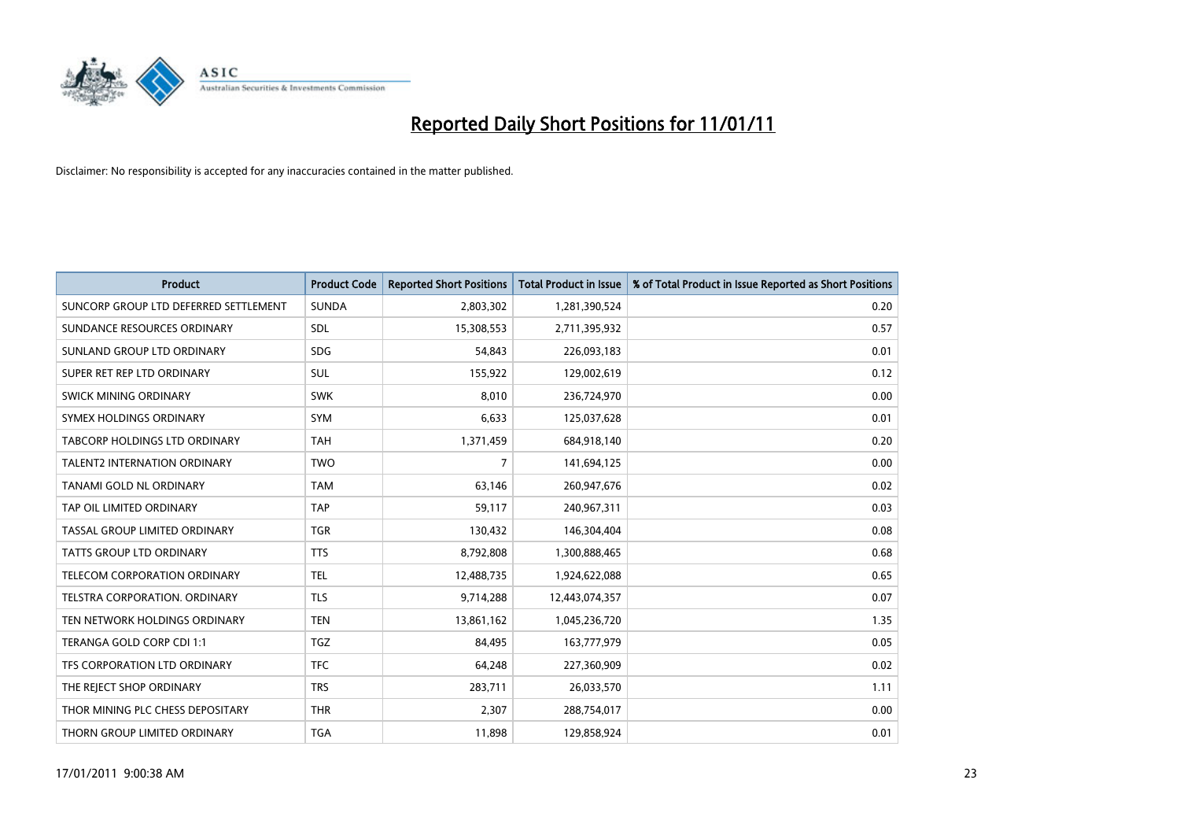

| <b>Product</b>                        | <b>Product Code</b> | <b>Reported Short Positions</b> | <b>Total Product in Issue</b> | % of Total Product in Issue Reported as Short Positions |
|---------------------------------------|---------------------|---------------------------------|-------------------------------|---------------------------------------------------------|
| SUNCORP GROUP LTD DEFERRED SETTLEMENT | <b>SUNDA</b>        | 2,803,302                       | 1,281,390,524                 | 0.20                                                    |
| SUNDANCE RESOURCES ORDINARY           | SDL                 | 15,308,553                      | 2,711,395,932                 | 0.57                                                    |
| SUNLAND GROUP LTD ORDINARY            | <b>SDG</b>          | 54,843                          | 226,093,183                   | 0.01                                                    |
| SUPER RET REP LTD ORDINARY            | <b>SUL</b>          | 155,922                         | 129,002,619                   | 0.12                                                    |
| SWICK MINING ORDINARY                 | <b>SWK</b>          | 8,010                           | 236,724,970                   | 0.00                                                    |
| SYMEX HOLDINGS ORDINARY               | <b>SYM</b>          | 6,633                           | 125,037,628                   | 0.01                                                    |
| TABCORP HOLDINGS LTD ORDINARY         | <b>TAH</b>          | 1,371,459                       | 684,918,140                   | 0.20                                                    |
| TALENT2 INTERNATION ORDINARY          | <b>TWO</b>          | $\overline{7}$                  | 141,694,125                   | 0.00                                                    |
| TANAMI GOLD NL ORDINARY               | <b>TAM</b>          | 63,146                          | 260,947,676                   | 0.02                                                    |
| TAP OIL LIMITED ORDINARY              | <b>TAP</b>          | 59,117                          | 240,967,311                   | 0.03                                                    |
| TASSAL GROUP LIMITED ORDINARY         | <b>TGR</b>          | 130,432                         | 146,304,404                   | 0.08                                                    |
| <b>TATTS GROUP LTD ORDINARY</b>       | <b>TTS</b>          | 8,792,808                       | 1,300,888,465                 | 0.68                                                    |
| <b>TELECOM CORPORATION ORDINARY</b>   | <b>TEL</b>          | 12,488,735                      | 1,924,622,088                 | 0.65                                                    |
| <b>TELSTRA CORPORATION, ORDINARY</b>  | <b>TLS</b>          | 9,714,288                       | 12,443,074,357                | 0.07                                                    |
| TEN NETWORK HOLDINGS ORDINARY         | <b>TEN</b>          | 13,861,162                      | 1,045,236,720                 | 1.35                                                    |
| TERANGA GOLD CORP CDI 1:1             | <b>TGZ</b>          | 84.495                          | 163,777,979                   | 0.05                                                    |
| TFS CORPORATION LTD ORDINARY          | <b>TFC</b>          | 64,248                          | 227,360,909                   | 0.02                                                    |
| THE REJECT SHOP ORDINARY              | <b>TRS</b>          | 283,711                         | 26,033,570                    | 1.11                                                    |
| THOR MINING PLC CHESS DEPOSITARY      | <b>THR</b>          | 2,307                           | 288,754,017                   | 0.00                                                    |
| THORN GROUP LIMITED ORDINARY          | <b>TGA</b>          | 11,898                          | 129,858,924                   | 0.01                                                    |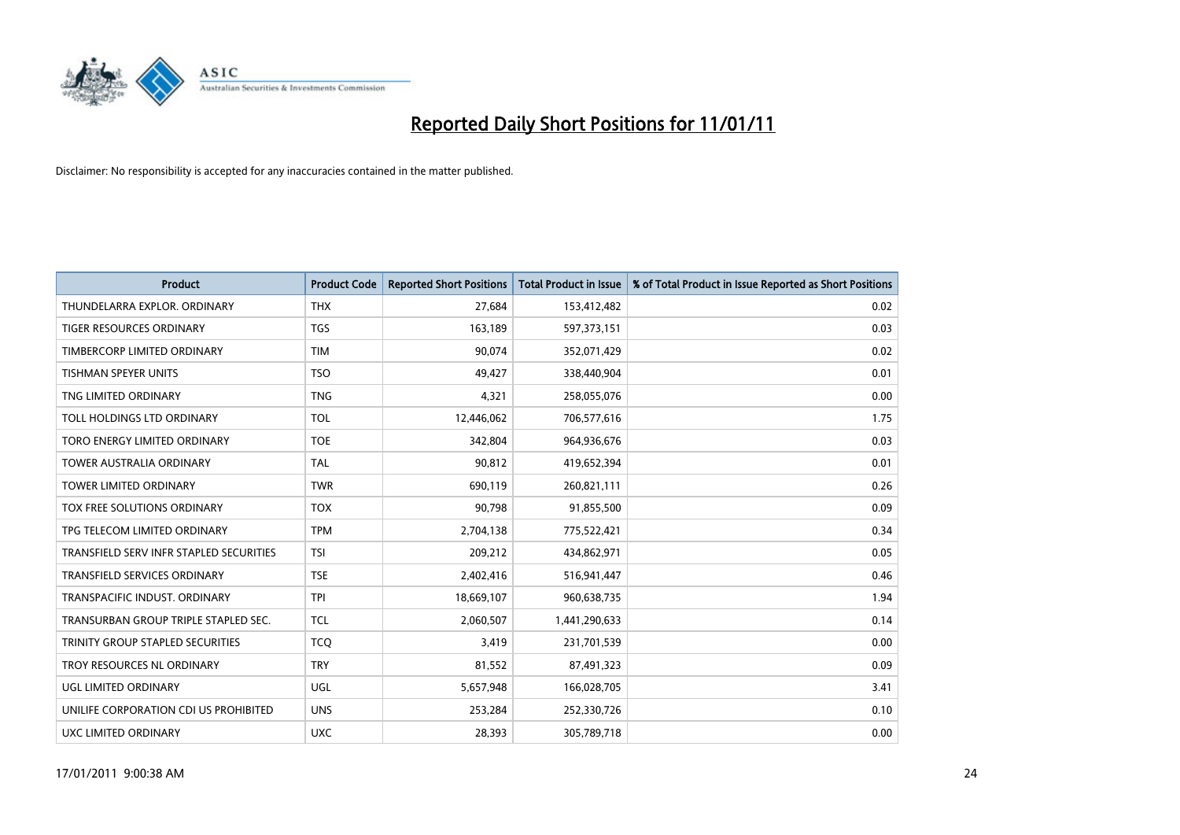

| <b>Product</b>                          | <b>Product Code</b> | <b>Reported Short Positions</b> | Total Product in Issue | % of Total Product in Issue Reported as Short Positions |
|-----------------------------------------|---------------------|---------------------------------|------------------------|---------------------------------------------------------|
| THUNDELARRA EXPLOR. ORDINARY            | <b>THX</b>          | 27,684                          | 153,412,482            | 0.02                                                    |
| TIGER RESOURCES ORDINARY                | <b>TGS</b>          | 163,189                         | 597,373,151            | 0.03                                                    |
| TIMBERCORP LIMITED ORDINARY             | <b>TIM</b>          | 90,074                          | 352,071,429            | 0.02                                                    |
| TISHMAN SPEYER UNITS                    | <b>TSO</b>          | 49,427                          | 338,440,904            | 0.01                                                    |
| TNG LIMITED ORDINARY                    | <b>TNG</b>          | 4,321                           | 258,055,076            | 0.00                                                    |
| TOLL HOLDINGS LTD ORDINARY              | <b>TOL</b>          | 12,446,062                      | 706,577,616            | 1.75                                                    |
| TORO ENERGY LIMITED ORDINARY            | <b>TOE</b>          | 342,804                         | 964,936,676            | 0.03                                                    |
| <b>TOWER AUSTRALIA ORDINARY</b>         | <b>TAL</b>          | 90,812                          | 419,652,394            | 0.01                                                    |
| <b>TOWER LIMITED ORDINARY</b>           | <b>TWR</b>          | 690,119                         | 260,821,111            | 0.26                                                    |
| TOX FREE SOLUTIONS ORDINARY             | <b>TOX</b>          | 90,798                          | 91,855,500             | 0.09                                                    |
| TPG TELECOM LIMITED ORDINARY            | <b>TPM</b>          | 2,704,138                       | 775,522,421            | 0.34                                                    |
| TRANSFIELD SERV INFR STAPLED SECURITIES | <b>TSI</b>          | 209,212                         | 434,862,971            | 0.05                                                    |
| TRANSFIELD SERVICES ORDINARY            | <b>TSE</b>          | 2,402,416                       | 516,941,447            | 0.46                                                    |
| <b>TRANSPACIFIC INDUST, ORDINARY</b>    | <b>TPI</b>          | 18,669,107                      | 960,638,735            | 1.94                                                    |
| TRANSURBAN GROUP TRIPLE STAPLED SEC.    | <b>TCL</b>          | 2,060,507                       | 1,441,290,633          | 0.14                                                    |
| TRINITY GROUP STAPLED SECURITIES        | <b>TCO</b>          | 3,419                           | 231,701,539            | 0.00                                                    |
| TROY RESOURCES NL ORDINARY              | <b>TRY</b>          | 81,552                          | 87,491,323             | 0.09                                                    |
| UGL LIMITED ORDINARY                    | UGL                 | 5,657,948                       | 166,028,705            | 3.41                                                    |
| UNILIFE CORPORATION CDI US PROHIBITED   | <b>UNS</b>          | 253,284                         | 252,330,726            | 0.10                                                    |
| UXC LIMITED ORDINARY                    | <b>UXC</b>          | 28,393                          | 305,789,718            | 0.00                                                    |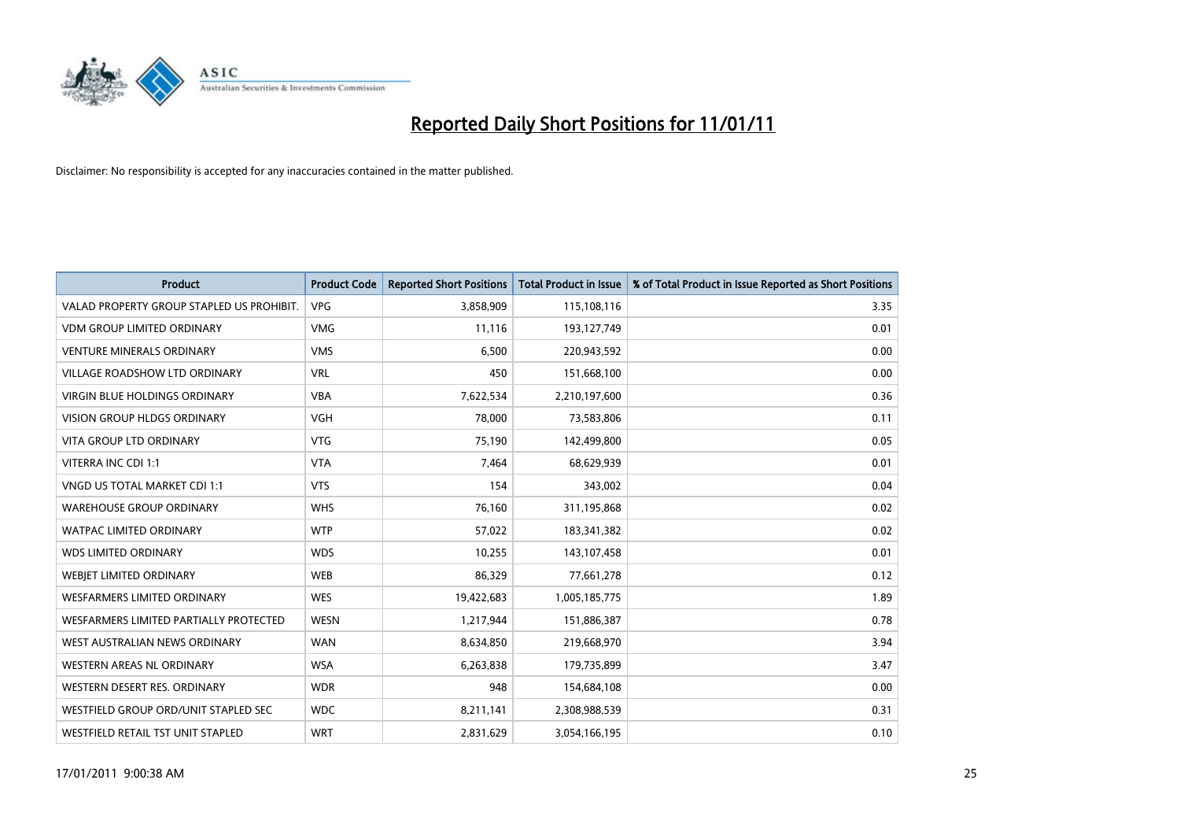

| <b>Product</b>                            | <b>Product Code</b> | <b>Reported Short Positions</b> | <b>Total Product in Issue</b> | % of Total Product in Issue Reported as Short Positions |
|-------------------------------------------|---------------------|---------------------------------|-------------------------------|---------------------------------------------------------|
| VALAD PROPERTY GROUP STAPLED US PROHIBIT. | <b>VPG</b>          | 3,858,909                       | 115,108,116                   | 3.35                                                    |
| VDM GROUP LIMITED ORDINARY                | <b>VMG</b>          | 11,116                          | 193,127,749                   | 0.01                                                    |
| <b>VENTURE MINERALS ORDINARY</b>          | <b>VMS</b>          | 6.500                           | 220,943,592                   | 0.00                                                    |
| VILLAGE ROADSHOW LTD ORDINARY             | <b>VRL</b>          | 450                             | 151,668,100                   | 0.00                                                    |
| <b>VIRGIN BLUE HOLDINGS ORDINARY</b>      | <b>VBA</b>          | 7,622,534                       | 2,210,197,600                 | 0.36                                                    |
| <b>VISION GROUP HLDGS ORDINARY</b>        | <b>VGH</b>          | 78,000                          | 73,583,806                    | 0.11                                                    |
| <b>VITA GROUP LTD ORDINARY</b>            | <b>VTG</b>          | 75,190                          | 142,499,800                   | 0.05                                                    |
| VITERRA INC CDI 1:1                       | <b>VTA</b>          | 7,464                           | 68,629,939                    | 0.01                                                    |
| VNGD US TOTAL MARKET CDI 1:1              | <b>VTS</b>          | 154                             | 343,002                       | 0.04                                                    |
| <b>WAREHOUSE GROUP ORDINARY</b>           | <b>WHS</b>          | 76,160                          | 311,195,868                   | 0.02                                                    |
| WATPAC LIMITED ORDINARY                   | <b>WTP</b>          | 57,022                          | 183,341,382                   | 0.02                                                    |
| <b>WDS LIMITED ORDINARY</b>               | <b>WDS</b>          | 10,255                          | 143,107,458                   | 0.01                                                    |
| WEBIET LIMITED ORDINARY                   | <b>WEB</b>          | 86,329                          | 77,661,278                    | 0.12                                                    |
| <b>WESFARMERS LIMITED ORDINARY</b>        | <b>WES</b>          | 19,422,683                      | 1,005,185,775                 | 1.89                                                    |
| WESFARMERS LIMITED PARTIALLY PROTECTED    | <b>WESN</b>         | 1,217,944                       | 151,886,387                   | 0.78                                                    |
| WEST AUSTRALIAN NEWS ORDINARY             | <b>WAN</b>          | 8,634,850                       | 219,668,970                   | 3.94                                                    |
| WESTERN AREAS NL ORDINARY                 | <b>WSA</b>          | 6,263,838                       | 179,735,899                   | 3.47                                                    |
| WESTERN DESERT RES. ORDINARY              | <b>WDR</b>          | 948                             | 154,684,108                   | 0.00                                                    |
| WESTFIELD GROUP ORD/UNIT STAPLED SEC      | <b>WDC</b>          | 8,211,141                       | 2,308,988,539                 | 0.31                                                    |
| WESTFIELD RETAIL TST UNIT STAPLED         | <b>WRT</b>          | 2,831,629                       | 3,054,166,195                 | 0.10                                                    |